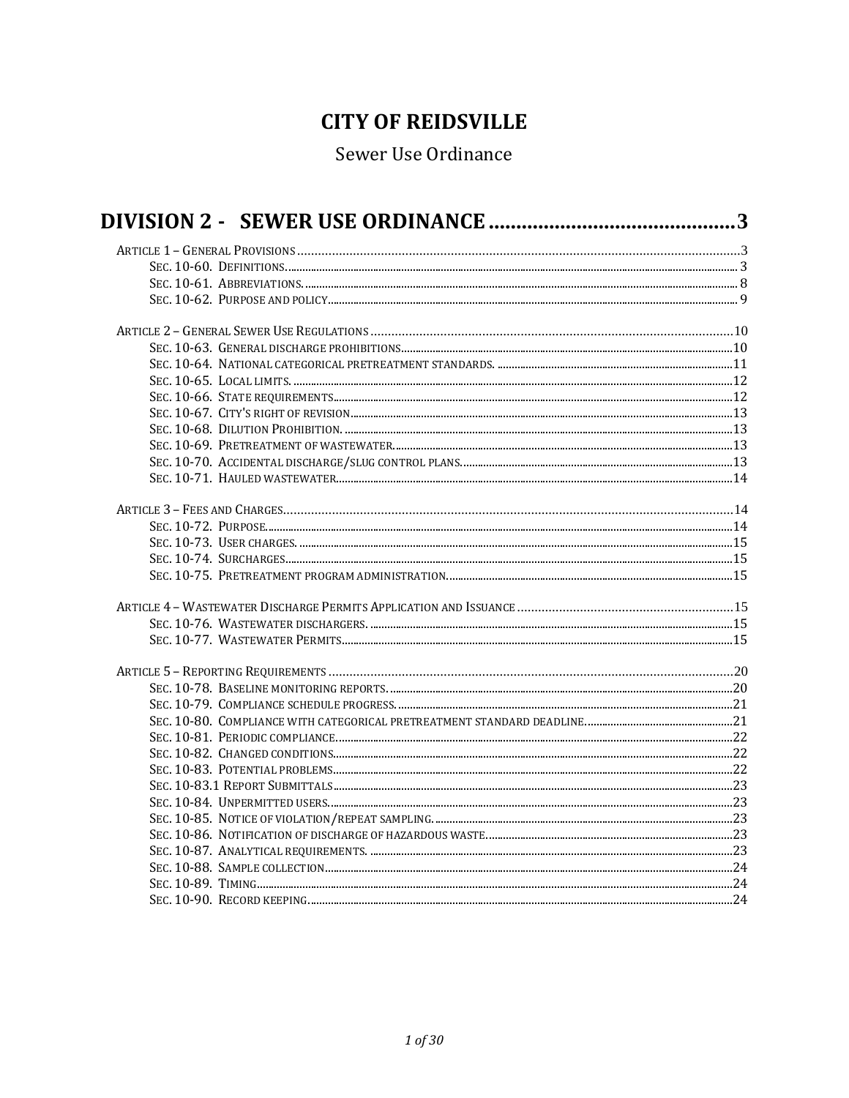# **CITY OF REIDSVILLE**

## Sewer Use Ordinance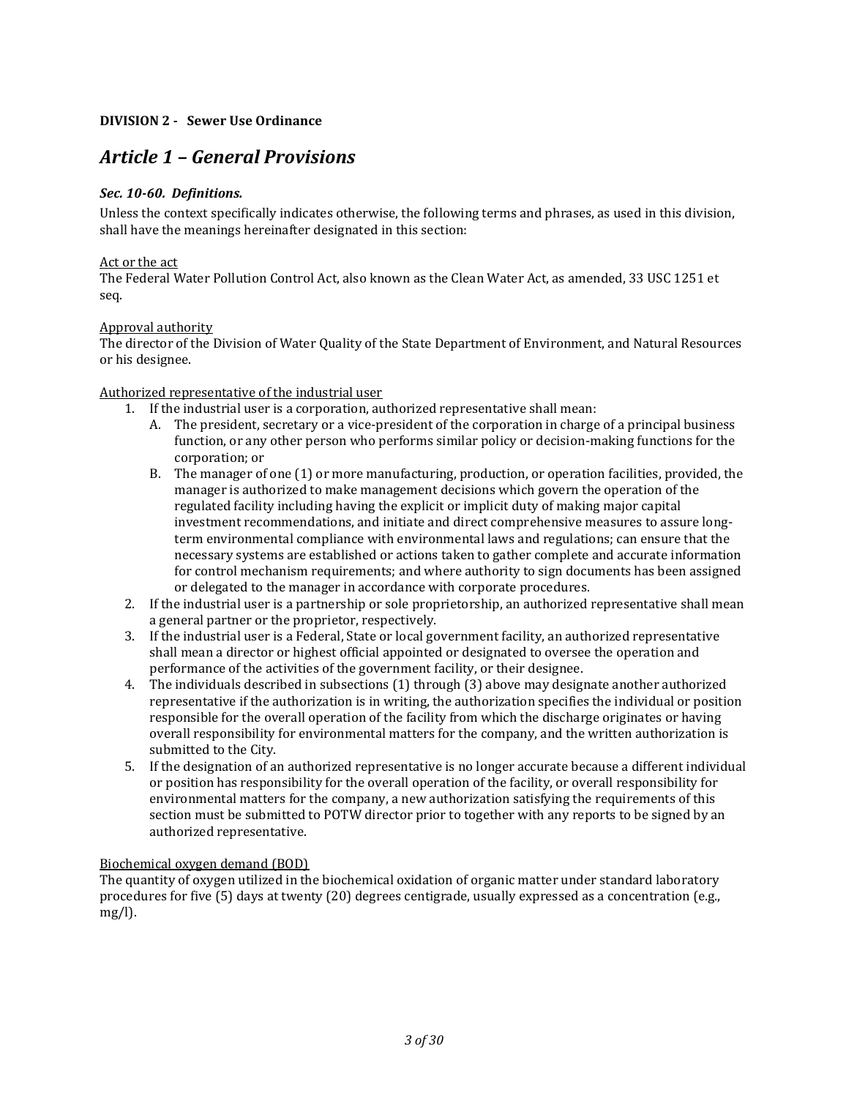## <span id="page-2-0"></span>**DIVISION 2 - Sewer Use Ordinance**

## <span id="page-2-1"></span>*Article 1 – General Provisions*

## <span id="page-2-2"></span>*Sec. 10-60. Definitions.*

Unless the context specifically indicates otherwise, the following terms and phrases, as used in this division, shall have the meanings hereinafter designated in this section:

#### Act or the act

The Federal Water Pollution Control Act, also known as the Clean Water Act, as amended, 33 USC 1251 et seq.

## Approval authority

The director of the Division of Water Quality of the State Department of Environment, and Natural Resources or his designee.

## Authorized representative of the industrial user

- 1. If the industrial user is a corporation, authorized representative shall mean:
	- A. The president, secretary or a vice-president of the corporation in charge of a principal business function, or any other person who performs similar policy or decision-making functions for the corporation; or
	- B. The manager of one (1) or more manufacturing, production, or operation facilities, provided, the manager is authorized to make management decisions which govern the operation of the regulated facility including having the explicit or implicit duty of making major capital investment recommendations, and initiate and direct comprehensive measures to assure longterm environmental compliance with environmental laws and regulations; can ensure that the necessary systems are established or actions taken to gather complete and accurate information for control mechanism requirements; and where authority to sign documents has been assigned or delegated to the manager in accordance with corporate procedures.
- 2. If the industrial user is a partnership or sole proprietorship, an authorized representative shall mean a general partner or the proprietor, respectively.
- 3. If the industrial user is a Federal, State or local government facility, an authorized representative shall mean a director or highest official appointed or designated to oversee the operation and performance of the activities of the government facility, or their designee.
- 4. The individuals described in subsections (1) through (3) above may designate another authorized representative if the authorization is in writing, the authorization specifies the individual or position responsible for the overall operation of the facility from which the discharge originates or having overall responsibility for environmental matters for the company, and the written authorization is submitted to the City.
- 5. If the designation of an authorized representative is no longer accurate because a different individual or position has responsibility for the overall operation of the facility, or overall responsibility for environmental matters for the company, a new authorization satisfying the requirements of this section must be submitted to POTW director prior to together with any reports to be signed by an authorized representative.

#### Biochemical oxygen demand (BOD)

The quantity of oxygen utilized in the biochemical oxidation of organic matter under standard laboratory procedures for five (5) days at twenty (20) degrees centigrade, usually expressed as a concentration (e.g., mg/l).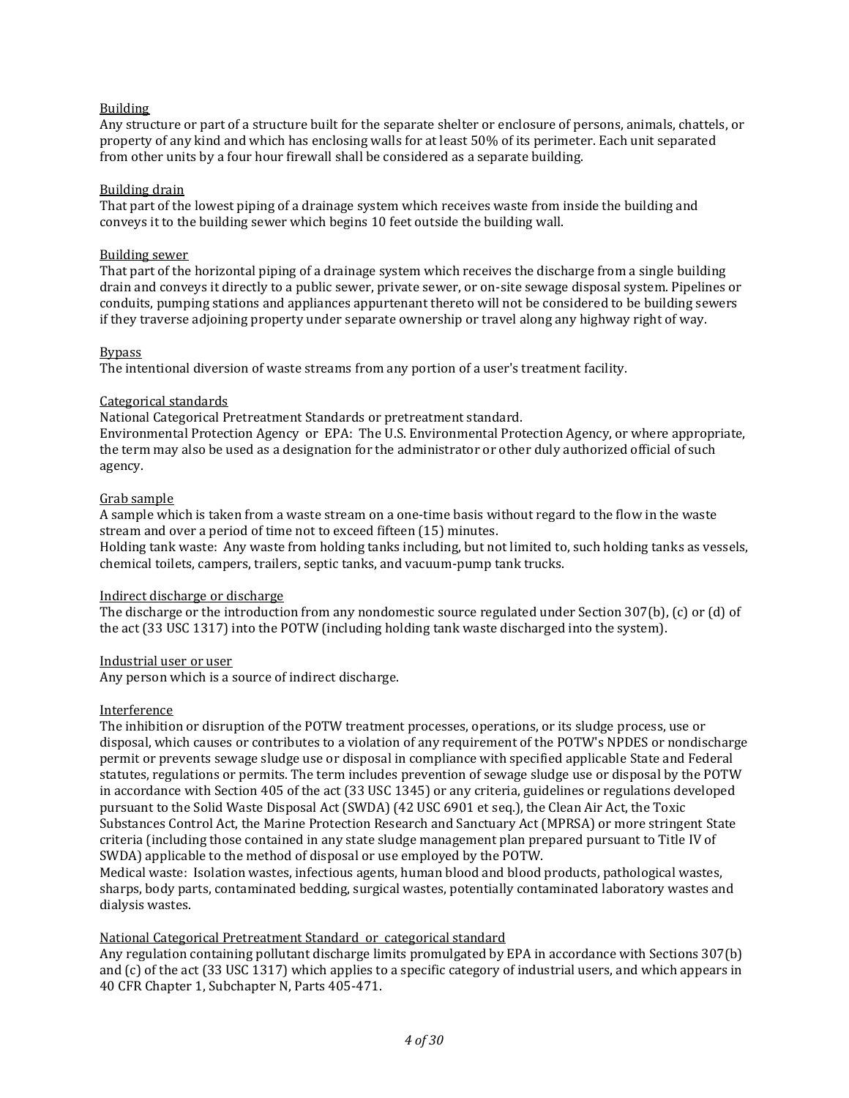## Building

Any structure or part of a structure built for the separate shelter or enclosure of persons, animals, chattels, or property of any kind and which has enclosing walls for at least 50% of its perimeter. Each unit separated from other units by a four hour firewall shall be considered as a separate building.

#### Building drain

That part of the lowest piping of a drainage system which receives waste from inside the building and conveys it to the building sewer which begins 10 feet outside the building wall.

#### Building sewer

That part of the horizontal piping of a drainage system which receives the discharge from a single building drain and conveys it directly to a public sewer, private sewer, or on-site sewage disposal system. Pipelines or conduits, pumping stations and appliances appurtenant thereto will not be considered to be building sewers if they traverse adjoining property under separate ownership or travel along any highway right of way.

#### Bypass

The intentional diversion of waste streams from any portion of a user's treatment facility.

## Categorical standards

National Categorical Pretreatment Standards or pretreatment standard.

Environmental Protection Agency or EPA: The U.S. Environmental Protection Agency, or where appropriate, the term may also be used as a designation for the administrator or other duly authorized official of such agency.

## Grab sample

A sample which is taken from a waste stream on a one-time basis without regard to the flow in the waste stream and over a period of time not to exceed fifteen (15) minutes.

Holding tank waste: Any waste from holding tanks including, but not limited to, such holding tanks as vessels, chemical toilets, campers, trailers, septic tanks, and vacuum-pump tank trucks.

#### Indirect discharge or discharge

The discharge or the introduction from any nondomestic source regulated under Section 307(b), (c) or (d) of the act (33 USC 1317) into the POTW (including holding tank waste discharged into the system).

#### Industrial user or user

Any person which is a source of indirect discharge.

#### Interference

The inhibition or disruption of the POTW treatment processes, operations, or its sludge process, use or disposal, which causes or contributes to a violation of any requirement of the POTW's NPDES or nondischarge permit or prevents sewage sludge use or disposal in compliance with specified applicable State and Federal statutes, regulations or permits. The term includes prevention of sewage sludge use or disposal by the POTW in accordance with Section 405 of the act (33 USC 1345) or any criteria, guidelines or regulations developed pursuant to the Solid Waste Disposal Act (SWDA) (42 USC 6901 et seq.), the Clean Air Act, the Toxic Substances Control Act, the Marine Protection Research and Sanctuary Act (MPRSA) or more stringent State criteria (including those contained in any state sludge management plan prepared pursuant to Title IV of SWDA) applicable to the method of disposal or use employed by the POTW.

Medical waste: Isolation wastes, infectious agents, human blood and blood products, pathological wastes, sharps, body parts, contaminated bedding, surgical wastes, potentially contaminated laboratory wastes and dialysis wastes.

## National Categorical Pretreatment Standard or categorical standard

Any regulation containing pollutant discharge limits promulgated by EPA in accordance with Sections 307(b) and (c) of the act (33 USC 1317) which applies to a specific category of industrial users, and which appears in 40 CFR Chapter 1, Subchapter N, Parts 405-471.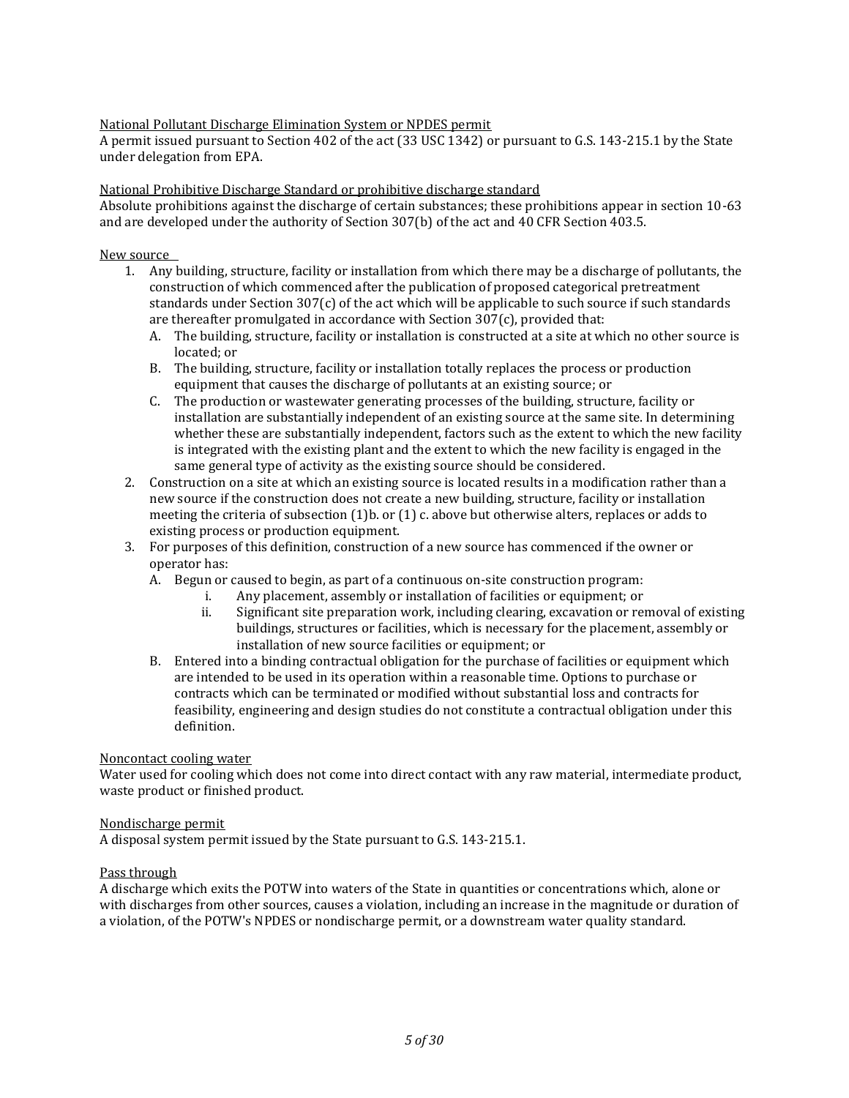## National Pollutant Discharge Elimination System or NPDES permit

A permit issued pursuant to Section 402 of the act (33 USC 1342) or pursuant to G.S. 143-215.1 by the State under delegation from EPA.

#### National Prohibitive Discharge Standard or prohibitive discharge standard

Absolute prohibitions against the discharge of certain substances; these prohibitions appear in section 10-63 and are developed under the authority of Section 307(b) of the act and 40 CFR Section 403.5.

#### New source

- 1. Any building, structure, facility or installation from which there may be a discharge of pollutants, the construction of which commenced after the publication of proposed categorical pretreatment standards under Section 307(c) of the act which will be applicable to such source if such standards are thereafter promulgated in accordance with Section 307(c), provided that:
	- A. The building, structure, facility or installation is constructed at a site at which no other source is located; or
	- B. The building, structure, facility or installation totally replaces the process or production equipment that causes the discharge of pollutants at an existing source; or
	- C. The production or wastewater generating processes of the building, structure, facility or installation are substantially independent of an existing source at the same site. In determining whether these are substantially independent, factors such as the extent to which the new facility is integrated with the existing plant and the extent to which the new facility is engaged in the same general type of activity as the existing source should be considered.
- 2. Construction on a site at which an existing source is located results in a modification rather than a new source if the construction does not create a new building, structure, facility or installation meeting the criteria of subsection (1)b. or (1) c. above but otherwise alters, replaces or adds to existing process or production equipment.
- 3. For purposes of this definition, construction of a new source has commenced if the owner or operator has:
	- A. Begun or caused to begin, as part of a continuous on-site construction program:
		- i. Any placement, assembly or installation of facilities or equipment; or
		- ii. Significant site preparation work, including clearing, excavation or removal of existing buildings, structures or facilities, which is necessary for the placement, assembly or installation of new source facilities or equipment; or
	- B. Entered into a binding contractual obligation for the purchase of facilities or equipment which are intended to be used in its operation within a reasonable time. Options to purchase or contracts which can be terminated or modified without substantial loss and contracts for feasibility, engineering and design studies do not constitute a contractual obligation under this definition.

Noncontact cooling water

Water used for cooling which does not come into direct contact with any raw material, intermediate product, waste product or finished product.

#### Nondischarge permit

A disposal system permit issued by the State pursuant to G.S. 143-215.1.

#### Pass through

A discharge which exits the POTW into waters of the State in quantities or concentrations which, alone or with discharges from other sources, causes a violation, including an increase in the magnitude or duration of a violation, of the POTW's NPDES or nondischarge permit, or a downstream water quality standard.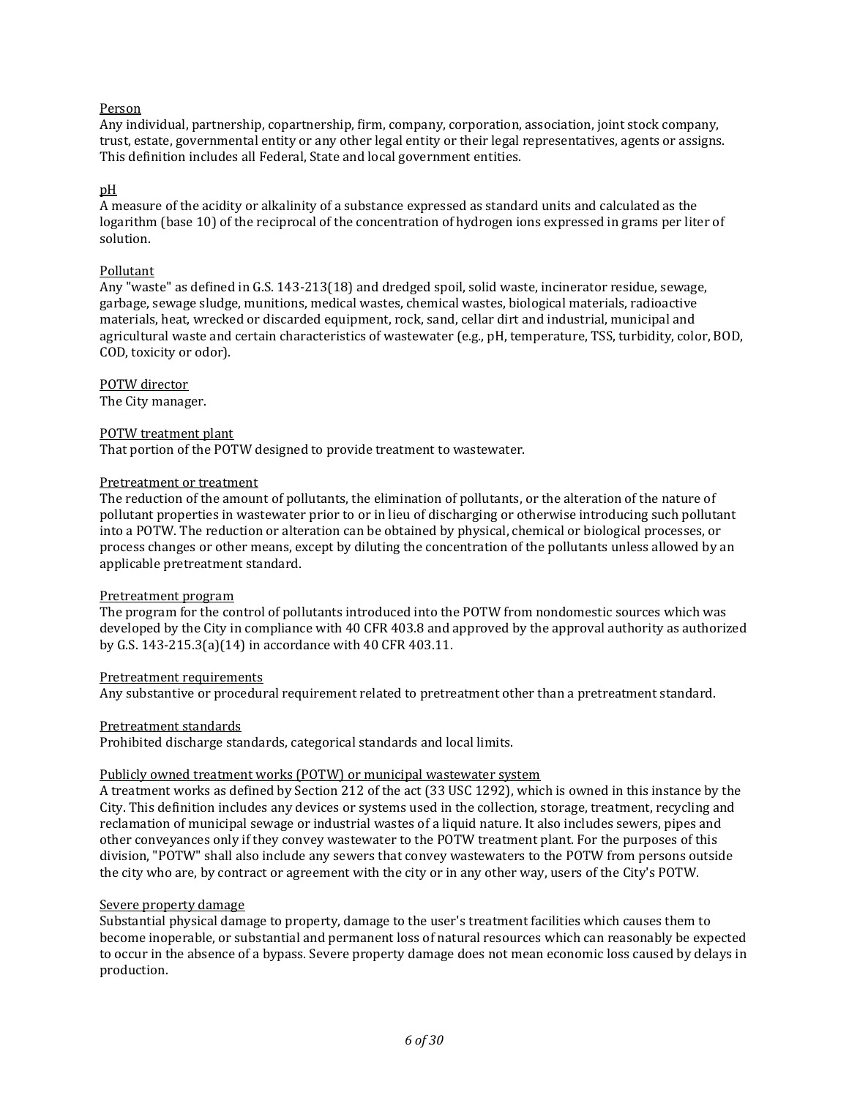## Person

Any individual, partnership, copartnership, firm, company, corporation, association, joint stock company, trust, estate, governmental entity or any other legal entity or their legal representatives, agents or assigns. This definition includes all Federal, State and local government entities.

#### pH

A measure of the acidity or alkalinity of a substance expressed as standard units and calculated as the logarithm (base 10) of the reciprocal of the concentration of hydrogen ions expressed in grams per liter of solution.

#### Pollutant

Any "waste" as defined in G.S. 143-213(18) and dredged spoil, solid waste, incinerator residue, sewage, garbage, sewage sludge, munitions, medical wastes, chemical wastes, biological materials, radioactive materials, heat, wrecked or discarded equipment, rock, sand, cellar dirt and industrial, municipal and agricultural waste and certain characteristics of wastewater (e.g., pH, temperature, TSS, turbidity, color, BOD, COD, toxicity or odor).

## POTW director

The City manager.

## POTW treatment plant

That portion of the POTW designed to provide treatment to wastewater.

#### Pretreatment or treatment

The reduction of the amount of pollutants, the elimination of pollutants, or the alteration of the nature of pollutant properties in wastewater prior to or in lieu of discharging or otherwise introducing such pollutant into a POTW. The reduction or alteration can be obtained by physical, chemical or biological processes, or process changes or other means, except by diluting the concentration of the pollutants unless allowed by an applicable pretreatment standard.

#### Pretreatment program

The program for the control of pollutants introduced into the POTW from nondomestic sources which was developed by the City in compliance with 40 CFR 403.8 and approved by the approval authority as authorized by G.S. 143-215.3(a)(14) in accordance with 40 CFR 403.11.

#### Pretreatment requirements

Any substantive or procedural requirement related to pretreatment other than a pretreatment standard.

#### Pretreatment standards

Prohibited discharge standards, categorical standards and local limits.

#### Publicly owned treatment works (POTW) or municipal wastewater system

A treatment works as defined by Section 212 of the act (33 USC 1292), which is owned in this instance by the City. This definition includes any devices or systems used in the collection, storage, treatment, recycling and reclamation of municipal sewage or industrial wastes of a liquid nature. It also includes sewers, pipes and other conveyances only if they convey wastewater to the POTW treatment plant. For the purposes of this division, "POTW" shall also include any sewers that convey wastewaters to the POTW from persons outside the city who are, by contract or agreement with the city or in any other way, users of the City's POTW.

#### Severe property damage

Substantial physical damage to property, damage to the user's treatment facilities which causes them to become inoperable, or substantial and permanent loss of natural resources which can reasonably be expected to occur in the absence of a bypass. Severe property damage does not mean economic loss caused by delays in production.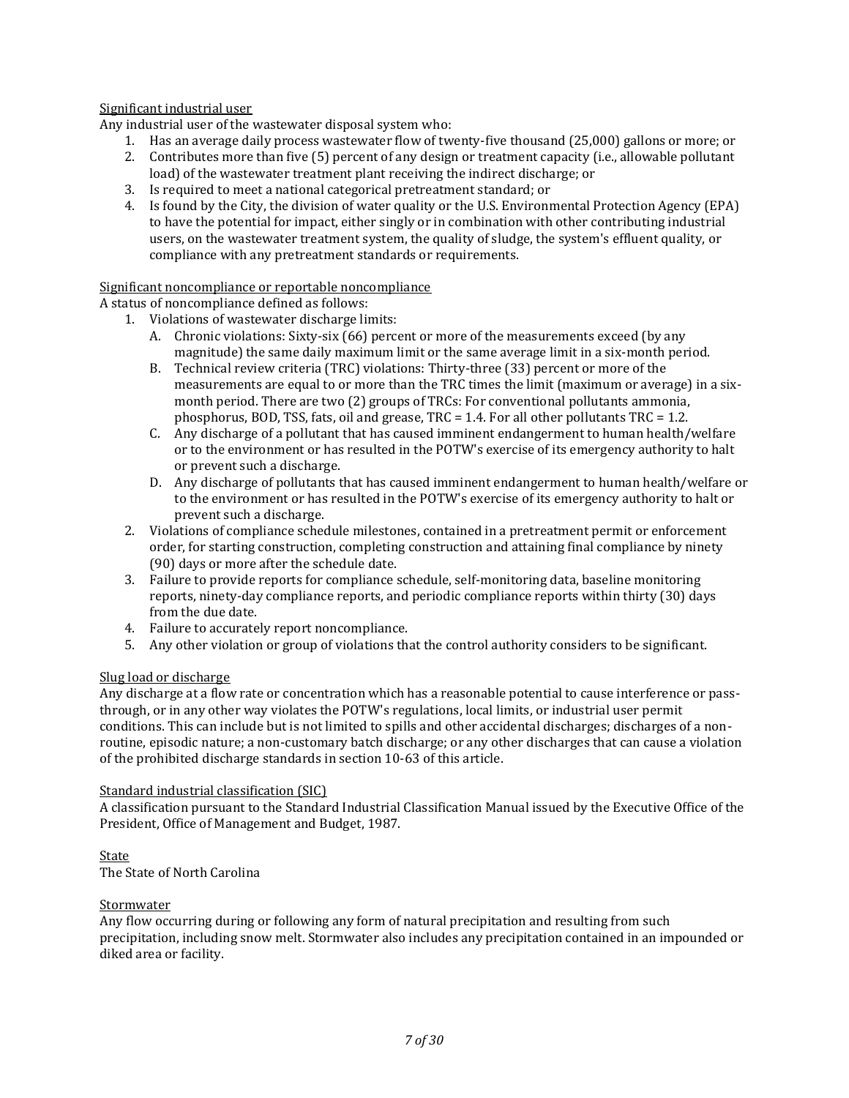## Significant industrial user

Any industrial user of the wastewater disposal system who:

- 1. Has an average daily process wastewater flow of twenty-five thousand (25,000) gallons or more; or
- 2. Contributes more than five (5) percent of any design or treatment capacity (i.e., allowable pollutant load) of the wastewater treatment plant receiving the indirect discharge; or
- 3. Is required to meet a national categorical pretreatment standard; or
- 4. Is found by the City, the division of water quality or the U.S. Environmental Protection Agency (EPA) to have the potential for impact, either singly or in combination with other contributing industrial users, on the wastewater treatment system, the quality of sludge, the system's effluent quality, or compliance with any pretreatment standards or requirements.

#### Significant noncompliance or reportable noncompliance

A status of noncompliance defined as follows:

- 1. Violations of wastewater discharge limits:
	- A. Chronic violations: Sixty-six (66) percent or more of the measurements exceed (by any magnitude) the same daily maximum limit or the same average limit in a six-month period.
	- B. Technical review criteria (TRC) violations: Thirty-three (33) percent or more of the measurements are equal to or more than the TRC times the limit (maximum or average) in a sixmonth period. There are two (2) groups of TRCs: For conventional pollutants ammonia, phosphorus, BOD, TSS, fats, oil and grease, TRC  $= 1.4$ . For all other pollutants TRC  $= 1.2$ .
	- C. Any discharge of a pollutant that has caused imminent endangerment to human health/welfare or to the environment or has resulted in the POTW's exercise of its emergency authority to halt or prevent such a discharge.
	- D. Any discharge of pollutants that has caused imminent endangerment to human health/welfare or to the environment or has resulted in the POTW's exercise of its emergency authority to halt or prevent such a discharge.
- 2. Violations of compliance schedule milestones, contained in a pretreatment permit or enforcement order, for starting construction, completing construction and attaining final compliance by ninety (90) days or more after the schedule date.
- 3. Failure to provide reports for compliance schedule, self-monitoring data, baseline monitoring reports, ninety-day compliance reports, and periodic compliance reports within thirty (30) days from the due date.
- 4. Failure to accurately report noncompliance.
- 5. Any other violation or group of violations that the control authority considers to be significant.

#### Slug load or discharge

Any discharge at a flow rate or concentration which has a reasonable potential to cause interference or passthrough, or in any other way violates the POTW's regulations, local limits, or industrial user permit conditions. This can include but is not limited to spills and other accidental discharges; discharges of a nonroutine, episodic nature; a non-customary batch discharge; or any other discharges that can cause a violation of the prohibited discharge standards in section 10-63 of this article.

#### Standard industrial classification (SIC)

A classification pursuant to the Standard Industrial Classification Manual issued by the Executive Office of the President, Office of Management and Budget, 1987.

## **State**

The State of North Carolina

#### **Stormwater**

Any flow occurring during or following any form of natural precipitation and resulting from such precipitation, including snow melt. Stormwater also includes any precipitation contained in an impounded or diked area or facility.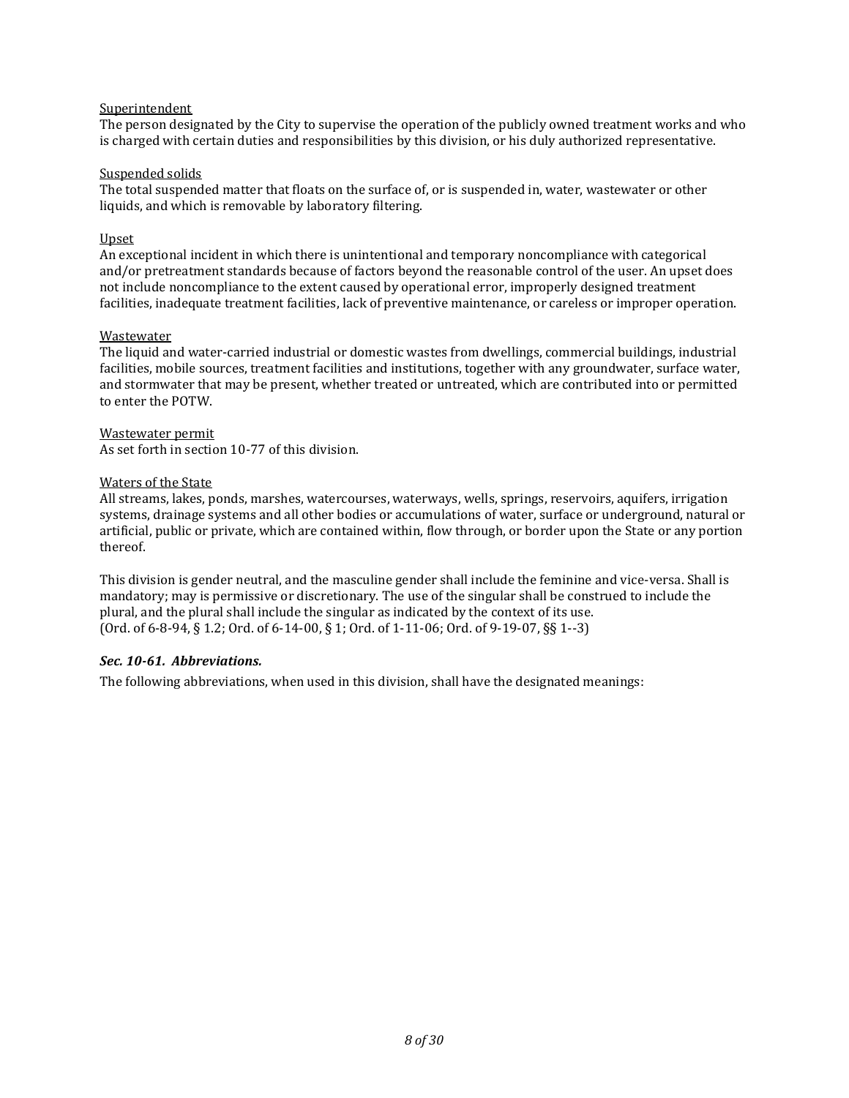#### **Superintendent**

The person designated by the City to supervise the operation of the publicly owned treatment works and who is charged with certain duties and responsibilities by this division, or his duly authorized representative.

#### Suspended solids

The total suspended matter that floats on the surface of, or is suspended in, water, wastewater or other liquids, and which is removable by laboratory filtering.

#### Upset

An exceptional incident in which there is unintentional and temporary noncompliance with categorical and/or pretreatment standards because of factors beyond the reasonable control of the user. An upset does not include noncompliance to the extent caused by operational error, improperly designed treatment facilities, inadequate treatment facilities, lack of preventive maintenance, or careless or improper operation.

#### Wastewater

The liquid and water-carried industrial or domestic wastes from dwellings, commercial buildings, industrial facilities, mobile sources, treatment facilities and institutions, together with any groundwater, surface water, and stormwater that may be present, whether treated or untreated, which are contributed into or permitted to enter the POTW.

Wastewater permit As set forth in section 10-77 of this division.

#### Waters of the State

All streams, lakes, ponds, marshes, watercourses, waterways, wells, springs, reservoirs, aquifers, irrigation systems, drainage systems and all other bodies or accumulations of water, surface or underground, natural or artificial, public or private, which are contained within, flow through, or border upon the State or any portion thereof.

This division is gender neutral, and the masculine gender shall include the feminine and vice-versa. Shall is mandatory; may is permissive or discretionary. The use of the singular shall be construed to include the plural, and the plural shall include the singular as indicated by the context of its use. (Ord. of 6-8-94, § 1.2; Ord. of 6-14-00, § 1; Ord. of 1-11-06; Ord. of 9-19-07, §§ 1--3)

#### <span id="page-7-0"></span>*Sec. 10-61. Abbreviations.*

The following abbreviations, when used in this division, shall have the designated meanings: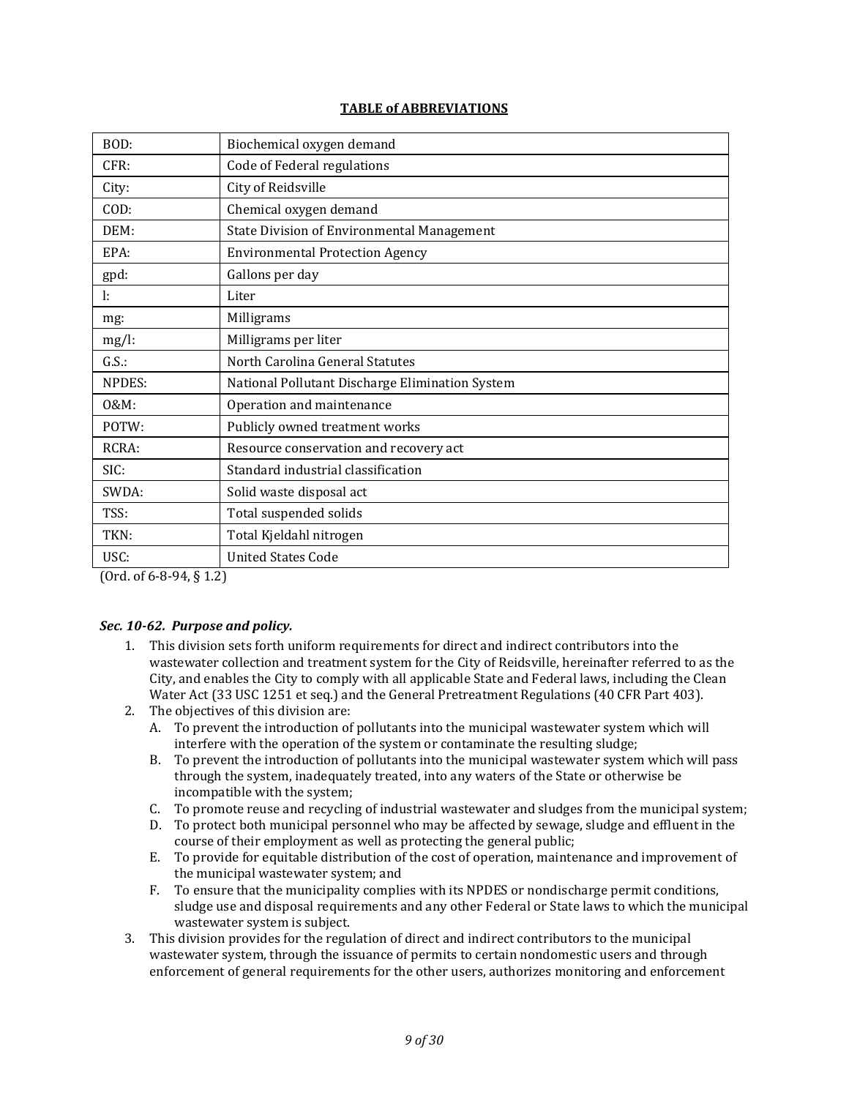## **TABLE of ABBREVIATIONS**

| BOD:     | Biochemical oxygen demand                         |
|----------|---------------------------------------------------|
| CFR:     | Code of Federal regulations                       |
| City:    | City of Reidsville                                |
| COD:     | Chemical oxygen demand                            |
| DEM:     | <b>State Division of Environmental Management</b> |
| EPA:     | <b>Environmental Protection Agency</b>            |
| gpd:     | Gallons per day                                   |
| ŀ.       | Liter                                             |
| $mg$ :   | Milligrams                                        |
| $mg/l$ : | Milligrams per liter                              |
| G.S.     | North Carolina General Statutes                   |
| NPDES:   | National Pollutant Discharge Elimination System   |
| 0&M:     | Operation and maintenance                         |
| POTW:    | Publicly owned treatment works                    |
| RCRA:    | Resource conservation and recovery act            |
| SIC:     | Standard industrial classification                |
| SWDA:    | Solid waste disposal act                          |
| TSS:     | Total suspended solids                            |
| TKN:     | Total Kjeldahl nitrogen                           |
| USC:     | <b>United States Code</b>                         |

(Ord. of 6-8-94, § 1.2)

## <span id="page-8-0"></span>*Sec. 10-62. Purpose and policy.*

- 1. This division sets forth uniform requirements for direct and indirect contributors into the wastewater collection and treatment system for the City of Reidsville, hereinafter referred to as the City, and enables the City to comply with all applicable State and Federal laws, including the Clean Water Act (33 USC 1251 et seq.) and the General Pretreatment Regulations (40 CFR Part 403).
- 2. The objectives of this division are:
	- A. To prevent the introduction of pollutants into the municipal wastewater system which will interfere with the operation of the system or contaminate the resulting sludge;
	- B. To prevent the introduction of pollutants into the municipal wastewater system which will pass through the system, inadequately treated, into any waters of the State or otherwise be incompatible with the system;
	- C. To promote reuse and recycling of industrial wastewater and sludges from the municipal system;
	- D. To protect both municipal personnel who may be affected by sewage, sludge and effluent in the course of their employment as well as protecting the general public;
	- E. To provide for equitable distribution of the cost of operation, maintenance and improvement of the municipal wastewater system; and
	- F. To ensure that the municipality complies with its NPDES or nondischarge permit conditions, sludge use and disposal requirements and any other Federal or State laws to which the municipal wastewater system is subject.
- 3. This division provides for the regulation of direct and indirect contributors to the municipal wastewater system, through the issuance of permits to certain nondomestic users and through enforcement of general requirements for the other users, authorizes monitoring and enforcement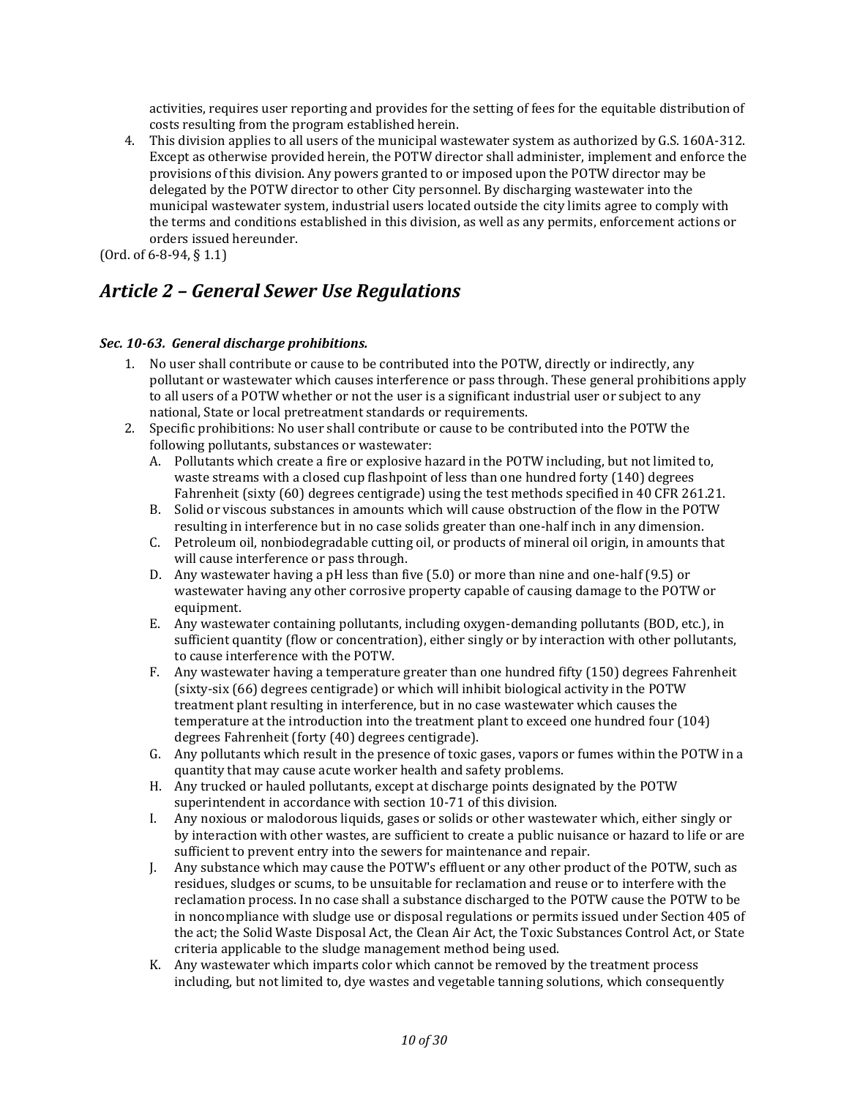activities, requires user reporting and provides for the setting of fees for the equitable distribution of costs resulting from the program established herein.

4. This division applies to all users of the municipal wastewater system as authorized by G.S. 160A-312. Except as otherwise provided herein, the POTW director shall administer, implement and enforce the provisions of this division. Any powers granted to or imposed upon the POTW director may be delegated by the POTW director to other City personnel. By discharging wastewater into the municipal wastewater system, industrial users located outside the city limits agree to comply with the terms and conditions established in this division, as well as any permits, enforcement actions or orders issued hereunder.

<span id="page-9-0"></span>(Ord. of 6-8-94, § 1.1)

## *Article 2 – General Sewer Use Regulations*

## <span id="page-9-1"></span>*Sec. 10-63. General discharge prohibitions.*

- 1. No user shall contribute or cause to be contributed into the POTW, directly or indirectly, any pollutant or wastewater which causes interference or pass through. These general prohibitions apply to all users of a POTW whether or not the user is a significant industrial user or subject to any national, State or local pretreatment standards or requirements.
- 2. Specific prohibitions: No user shall contribute or cause to be contributed into the POTW the following pollutants, substances or wastewater:
	- A. Pollutants which create a fire or explosive hazard in the POTW including, but not limited to, waste streams with a closed cup flashpoint of less than one hundred forty (140) degrees Fahrenheit (sixty (60) degrees centigrade) using the test methods specified in 40 CFR 261.21.
	- B. Solid or viscous substances in amounts which will cause obstruction of the flow in the POTW resulting in interference but in no case solids greater than one-half inch in any dimension.
	- C. Petroleum oil, nonbiodegradable cutting oil, or products of mineral oil origin, in amounts that will cause interference or pass through.
	- D. Any wastewater having a pH less than five (5.0) or more than nine and one-half (9.5) or wastewater having any other corrosive property capable of causing damage to the POTW or equipment.
	- E. Any wastewater containing pollutants, including oxygen-demanding pollutants (BOD, etc.), in sufficient quantity (flow or concentration), either singly or by interaction with other pollutants, to cause interference with the POTW.
	- F. Any wastewater having a temperature greater than one hundred fifty (150) degrees Fahrenheit (sixty-six (66) degrees centigrade) or which will inhibit biological activity in the POTW treatment plant resulting in interference, but in no case wastewater which causes the temperature at the introduction into the treatment plant to exceed one hundred four (104) degrees Fahrenheit (forty (40) degrees centigrade).
	- G. Any pollutants which result in the presence of toxic gases, vapors or fumes within the POTW in a quantity that may cause acute worker health and safety problems.
	- H. Any trucked or hauled pollutants, except at discharge points designated by the POTW superintendent in accordance with section 10-71 of this division.
	- I. Any noxious or malodorous liquids, gases or solids or other wastewater which, either singly or by interaction with other wastes, are sufficient to create a public nuisance or hazard to life or are sufficient to prevent entry into the sewers for maintenance and repair.
	- J. Any substance which may cause the POTW's effluent or any other product of the POTW, such as residues, sludges or scums, to be unsuitable for reclamation and reuse or to interfere with the reclamation process. In no case shall a substance discharged to the POTW cause the POTW to be in noncompliance with sludge use or disposal regulations or permits issued under Section 405 of the act; the Solid Waste Disposal Act, the Clean Air Act, the Toxic Substances Control Act, or State criteria applicable to the sludge management method being used.
	- K. Any wastewater which imparts color which cannot be removed by the treatment process including, but not limited to, dye wastes and vegetable tanning solutions, which consequently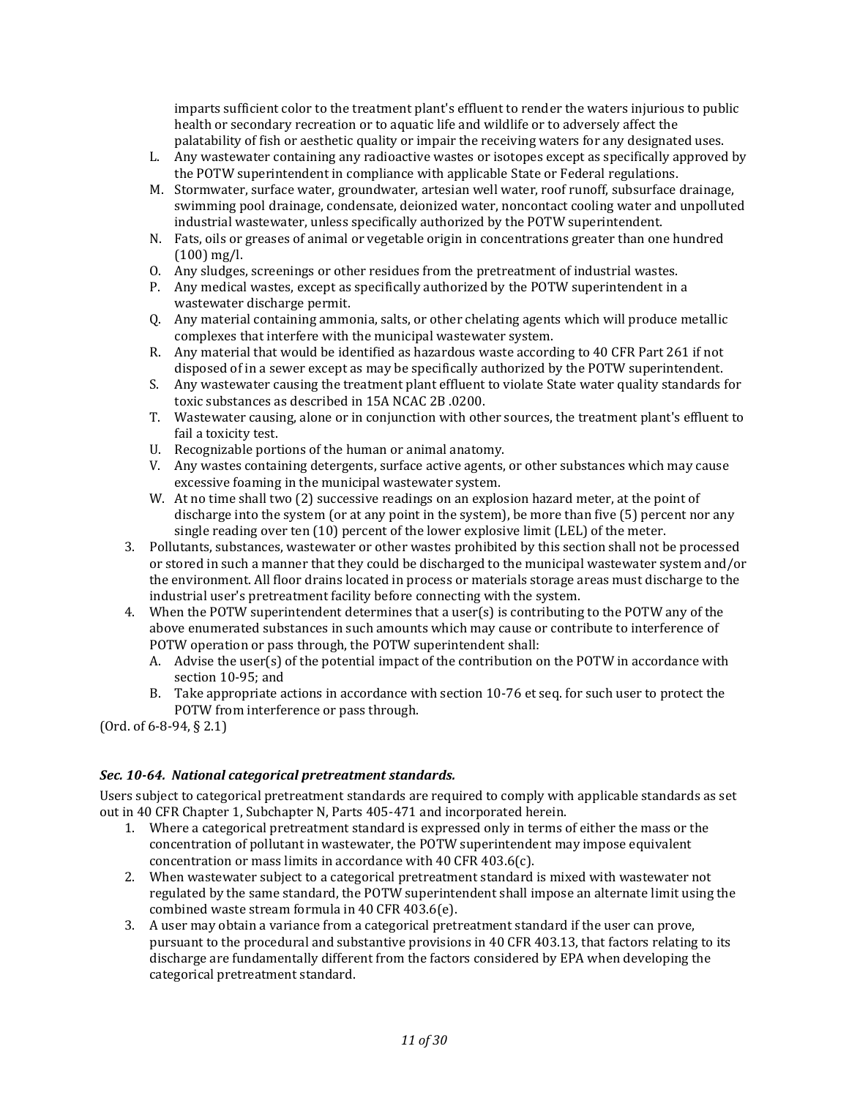imparts sufficient color to the treatment plant's effluent to render the waters injurious to public health or secondary recreation or to aquatic life and wildlife or to adversely affect the palatability of fish or aesthetic quality or impair the receiving waters for any designated uses.

- L. Any wastewater containing any radioactive wastes or isotopes except as specifically approved by the POTW superintendent in compliance with applicable State or Federal regulations.
- M. Stormwater, surface water, groundwater, artesian well water, roof runoff, subsurface drainage, swimming pool drainage, condensate, deionized water, noncontact cooling water and unpolluted industrial wastewater, unless specifically authorized by the POTW superintendent.
- N. Fats, oils or greases of animal or vegetable origin in concentrations greater than one hundred (100) mg/l.
- O. Any sludges, screenings or other residues from the pretreatment of industrial wastes.
- P. Any medical wastes, except as specifically authorized by the POTW superintendent in a wastewater discharge permit.
- Q. Any material containing ammonia, salts, or other chelating agents which will produce metallic complexes that interfere with the municipal wastewater system.
- R. Any material that would be identified as hazardous waste according to 40 CFR Part 261 if not disposed of in a sewer except as may be specifically authorized by the POTW superintendent.
- S. Any wastewater causing the treatment plant effluent to violate State water quality standards for toxic substances as described in 15A NCAC 2B .0200.
- T. Wastewater causing, alone or in conjunction with other sources, the treatment plant's effluent to fail a toxicity test.
- U. Recognizable portions of the human or animal anatomy.
- V. Any wastes containing detergents, surface active agents, or other substances which may cause excessive foaming in the municipal wastewater system.
- W. At no time shall two (2) successive readings on an explosion hazard meter, at the point of discharge into the system (or at any point in the system), be more than five (5) percent nor any single reading over ten (10) percent of the lower explosive limit (LEL) of the meter.
- 3. Pollutants, substances, wastewater or other wastes prohibited by this section shall not be processed or stored in such a manner that they could be discharged to the municipal wastewater system and/or the environment. All floor drains located in process or materials storage areas must discharge to the industrial user's pretreatment facility before connecting with the system.
- 4. When the POTW superintendent determines that a user(s) is contributing to the POTW any of the above enumerated substances in such amounts which may cause or contribute to interference of POTW operation or pass through, the POTW superintendent shall:
	- A. Advise the user(s) of the potential impact of the contribution on the POTW in accordance with section 10-95; and
	- B. Take appropriate actions in accordance with section 10-76 et seq. for such user to protect the POTW from interference or pass through.

(Ord. of 6-8-94, § 2.1)

## <span id="page-10-0"></span>*Sec. 10-64. National categorical pretreatment standards.*

Users subject to categorical pretreatment standards are required to comply with applicable standards as set out in 40 CFR Chapter 1, Subchapter N, Parts 405-471 and incorporated herein.

- 1. Where a categorical pretreatment standard is expressed only in terms of either the mass or the concentration of pollutant in wastewater, the POTW superintendent may impose equivalent concentration or mass limits in accordance with 40 CFR 403.6(c).
- 2. When wastewater subject to a categorical pretreatment standard is mixed with wastewater not regulated by the same standard, the POTW superintendent shall impose an alternate limit using the combined waste stream formula in 40 CFR 403.6(e).
- 3. A user may obtain a variance from a categorical pretreatment standard if the user can prove, pursuant to the procedural and substantive provisions in 40 CFR 403.13, that factors relating to its discharge are fundamentally different from the factors considered by EPA when developing the categorical pretreatment standard.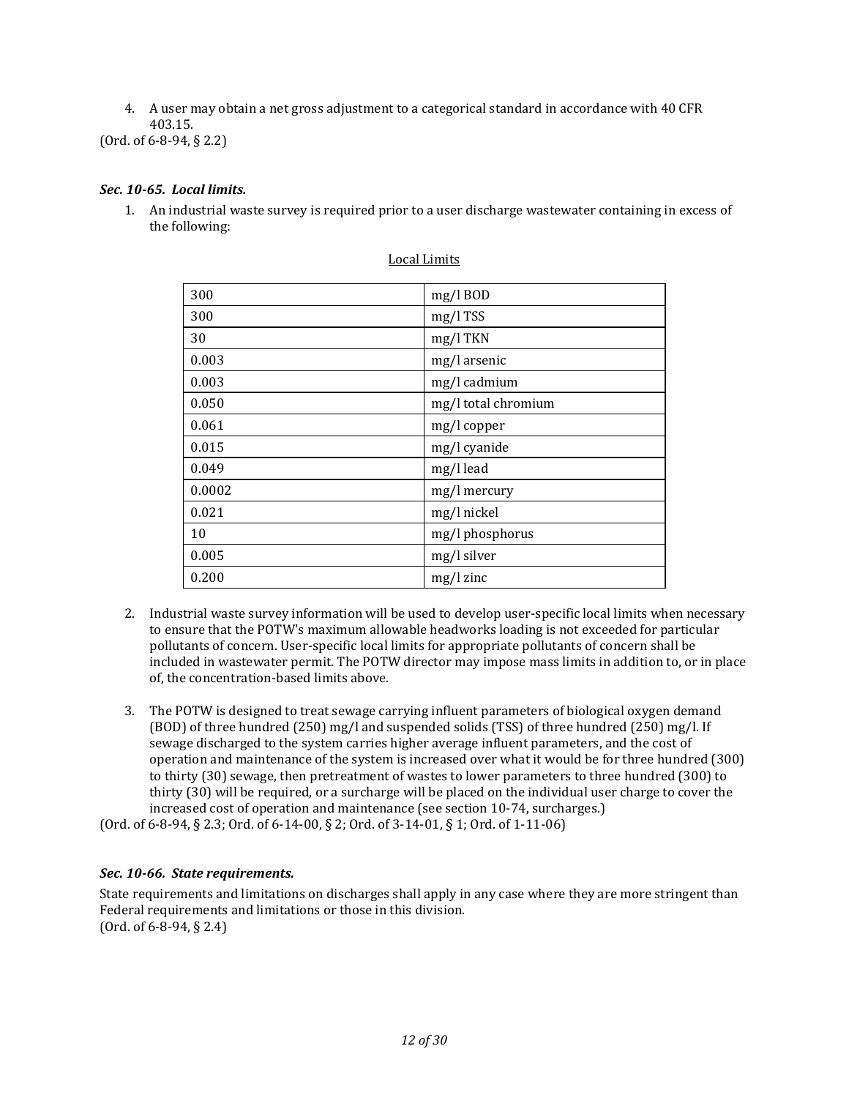4. A user may obtain a net gross adjustment to a categorical standard in accordance with 40 CFR 403.15.

(Ord. of 6-8-94, § 2.2)

## <span id="page-11-0"></span>*Sec. 10-65. Local limits.*

1. An industrial waste survey is required prior to a user discharge wastewater containing in excess of the following:

| 300    | $mg/l$ BOD          |
|--------|---------------------|
| 300    | $mg/l$ TSS          |
| 30     | mg/l TKN            |
| 0.003  | mg/l arsenic        |
| 0.003  | mg/l cadmium        |
| 0.050  | mg/l total chromium |
| 0.061  | mg/l copper         |
| 0.015  | mg/l cyanide        |
| 0.049  | mg/l lead           |
| 0.0002 | mg/l mercury        |
| 0.021  | mg/l nickel         |
| 10     | mg/l phosphorus     |
| 0.005  | mg/l silver         |
| 0.200  | $mg/l$ zinc         |

#### Local Limits

- 2. Industrial waste survey information will be used to develop user-specific local limits when necessary to ensure that the POTW's maximum allowable headworks loading is not exceeded for particular pollutants of concern. User-specific local limits for appropriate pollutants of concern shall be included in wastewater permit. The POTW director may impose mass limits in addition to, or in place of, the concentration-based limits above.
- 3. The POTW is designed to treat sewage carrying influent parameters of biological oxygen demand (BOD) of three hundred (250) mg/l and suspended solids (TSS) of three hundred (250) mg/l. If sewage discharged to the system carries higher average influent parameters, and the cost of operation and maintenance of the system is increased over what it would be for three hundred (300) to thirty (30) sewage, then pretreatment of wastes to lower parameters to three hundred (300) to thirty (30) will be required, or a surcharge will be placed on the individual user charge to cover the increased cost of operation and maintenance (see section 10-74, surcharges.)

(Ord. of 6-8-94, § 2.3; Ord. of 6-14-00, § 2; Ord. of 3-14-01, § 1; Ord. of 1-11-06)

## <span id="page-11-1"></span>*Sec. 10-66. State requirements.*

State requirements and limitations on discharges shall apply in any case where they are more stringent than Federal requirements and limitations or those in this division. (Ord. of 6-8-94, § 2.4)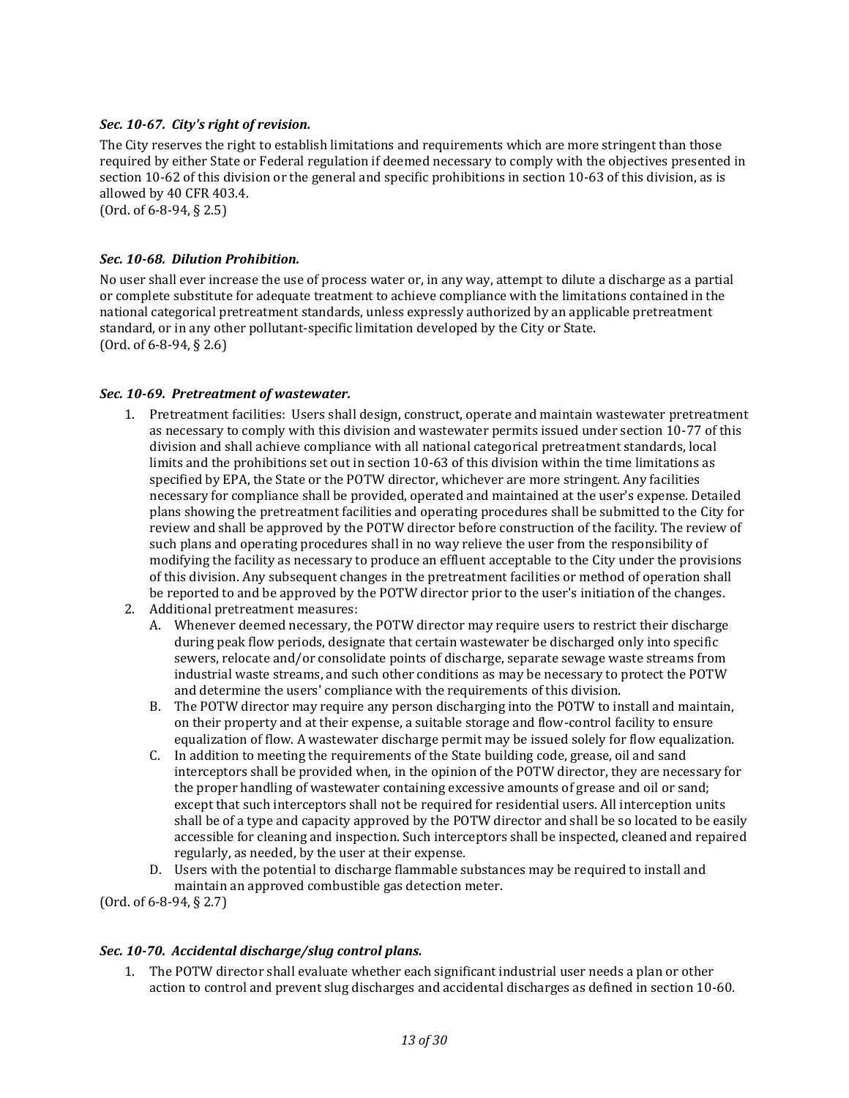## <span id="page-12-0"></span>*Sec. 10-67. City's right of revision.*

The City reserves the right to establish limitations and requirements which are more stringent than those required by either State or Federal regulation if deemed necessary to comply with the objectives presented in section 10-62 of this division or the general and specific prohibitions in section 10-63 of this division, as is allowed by 40 CFR 403.4.

(Ord. of 6-8-94, § 2.5)

## <span id="page-12-1"></span>*Sec. 10-68. Dilution Prohibition.*

No user shall ever increase the use of process water or, in any way, attempt to dilute a discharge as a partial or complete substitute for adequate treatment to achieve compliance with the limitations contained in the national categorical pretreatment standards, unless expressly authorized by an applicable pretreatment standard, or in any other pollutant-specific limitation developed by the City or State. (Ord. of 6-8-94, § 2.6)

#### <span id="page-12-2"></span>*Sec. 10-69. Pretreatment of wastewater.*

- 1. Pretreatment facilities: Users shall design, construct, operate and maintain wastewater pretreatment as necessary to comply with this division and wastewater permits issued under section 10-77 of this division and shall achieve compliance with all national categorical pretreatment standards, local limits and the prohibitions set out in section 10-63 of this division within the time limitations as specified by EPA, the State or the POTW director, whichever are more stringent. Any facilities necessary for compliance shall be provided, operated and maintained at the user's expense. Detailed plans showing the pretreatment facilities and operating procedures shall be submitted to the City for review and shall be approved by the POTW director before construction of the facility. The review of such plans and operating procedures shall in no way relieve the user from the responsibility of modifying the facility as necessary to produce an effluent acceptable to the City under the provisions of this division. Any subsequent changes in the pretreatment facilities or method of operation shall be reported to and be approved by the POTW director prior to the user's initiation of the changes.
- 2. Additional pretreatment measures:
	- A. Whenever deemed necessary, the POTW director may require users to restrict their discharge during peak flow periods, designate that certain wastewater be discharged only into specific sewers, relocate and/or consolidate points of discharge, separate sewage waste streams from industrial waste streams, and such other conditions as may be necessary to protect the POTW and determine the users' compliance with the requirements of this division.
	- B. The POTW director may require any person discharging into the POTW to install and maintain, on their property and at their expense, a suitable storage and flow-control facility to ensure equalization of flow. A wastewater discharge permit may be issued solely for flow equalization.
	- C. In addition to meeting the requirements of the State building code, grease, oil and sand interceptors shall be provided when, in the opinion of the POTW director, they are necessary for the proper handling of wastewater containing excessive amounts of grease and oil or sand; except that such interceptors shall not be required for residential users. All interception units shall be of a type and capacity approved by the POTW director and shall be so located to be easily accessible for cleaning and inspection. Such interceptors shall be inspected, cleaned and repaired regularly, as needed, by the user at their expense.
	- D. Users with the potential to discharge flammable substances may be required to install and maintain an approved combustible gas detection meter.

(Ord. of 6-8-94, § 2.7)

#### <span id="page-12-3"></span>*Sec. 10-70. Accidental discharge/slug control plans.*

1. The POTW director shall evaluate whether each significant industrial user needs a plan or other action to control and prevent slug discharges and accidental discharges as defined in section 10-60.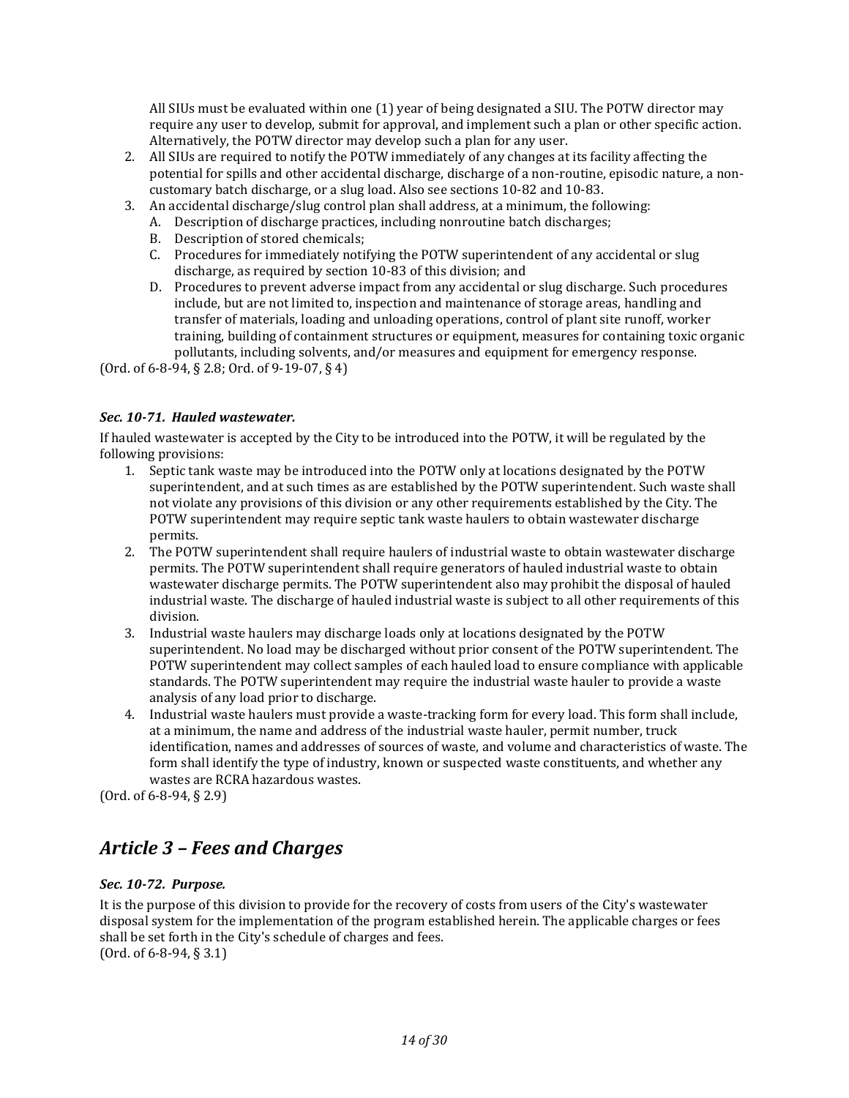All SIUs must be evaluated within one (1) year of being designated a SIU. The POTW director may require any user to develop, submit for approval, and implement such a plan or other specific action. Alternatively, the POTW director may develop such a plan for any user.

- 2. All SIUs are required to notify the POTW immediately of any changes at its facility affecting the potential for spills and other accidental discharge, discharge of a non-routine, episodic nature, a noncustomary batch discharge, or a slug load. Also see sections 10-82 and 10-83.
- 3. An accidental discharge/slug control plan shall address, at a minimum, the following:
	- A. Description of discharge practices, including nonroutine batch discharges;
		- B. Description of stored chemicals;
		- C. Procedures for immediately notifying the POTW superintendent of any accidental or slug discharge, as required by section 10-83 of this division; and
		- D. Procedures to prevent adverse impact from any accidental or slug discharge. Such procedures include, but are not limited to, inspection and maintenance of storage areas, handling and transfer of materials, loading and unloading operations, control of plant site runoff, worker training, building of containment structures or equipment, measures for containing toxic organic pollutants, including solvents, and/or measures and equipment for emergency response.

(Ord. of 6-8-94, § 2.8; Ord. of 9-19-07, § 4)

#### <span id="page-13-0"></span>*Sec. 10-71. Hauled wastewater.*

If hauled wastewater is accepted by the City to be introduced into the POTW, it will be regulated by the following provisions:

- 1. Septic tank waste may be introduced into the POTW only at locations designated by the POTW superintendent, and at such times as are established by the POTW superintendent. Such waste shall not violate any provisions of this division or any other requirements established by the City. The POTW superintendent may require septic tank waste haulers to obtain wastewater discharge permits.
- 2. The POTW superintendent shall require haulers of industrial waste to obtain wastewater discharge permits. The POTW superintendent shall require generators of hauled industrial waste to obtain wastewater discharge permits. The POTW superintendent also may prohibit the disposal of hauled industrial waste. The discharge of hauled industrial waste is subject to all other requirements of this division.
- 3. Industrial waste haulers may discharge loads only at locations designated by the POTW superintendent. No load may be discharged without prior consent of the POTW superintendent. The POTW superintendent may collect samples of each hauled load to ensure compliance with applicable standards. The POTW superintendent may require the industrial waste hauler to provide a waste analysis of any load prior to discharge.
- 4. Industrial waste haulers must provide a waste-tracking form for every load. This form shall include, at a minimum, the name and address of the industrial waste hauler, permit number, truck identification, names and addresses of sources of waste, and volume and characteristics of waste. The form shall identify the type of industry, known or suspected waste constituents, and whether any wastes are RCRA hazardous wastes.

(Ord. of 6-8-94, § 2.9)

## <span id="page-13-1"></span>*Article 3 – Fees and Charges*

## <span id="page-13-2"></span>*Sec. 10-72. Purpose.*

It is the purpose of this division to provide for the recovery of costs from users of the City's wastewater disposal system for the implementation of the program established herein. The applicable charges or fees shall be set forth in the City's schedule of charges and fees. (Ord. of 6-8-94, § 3.1)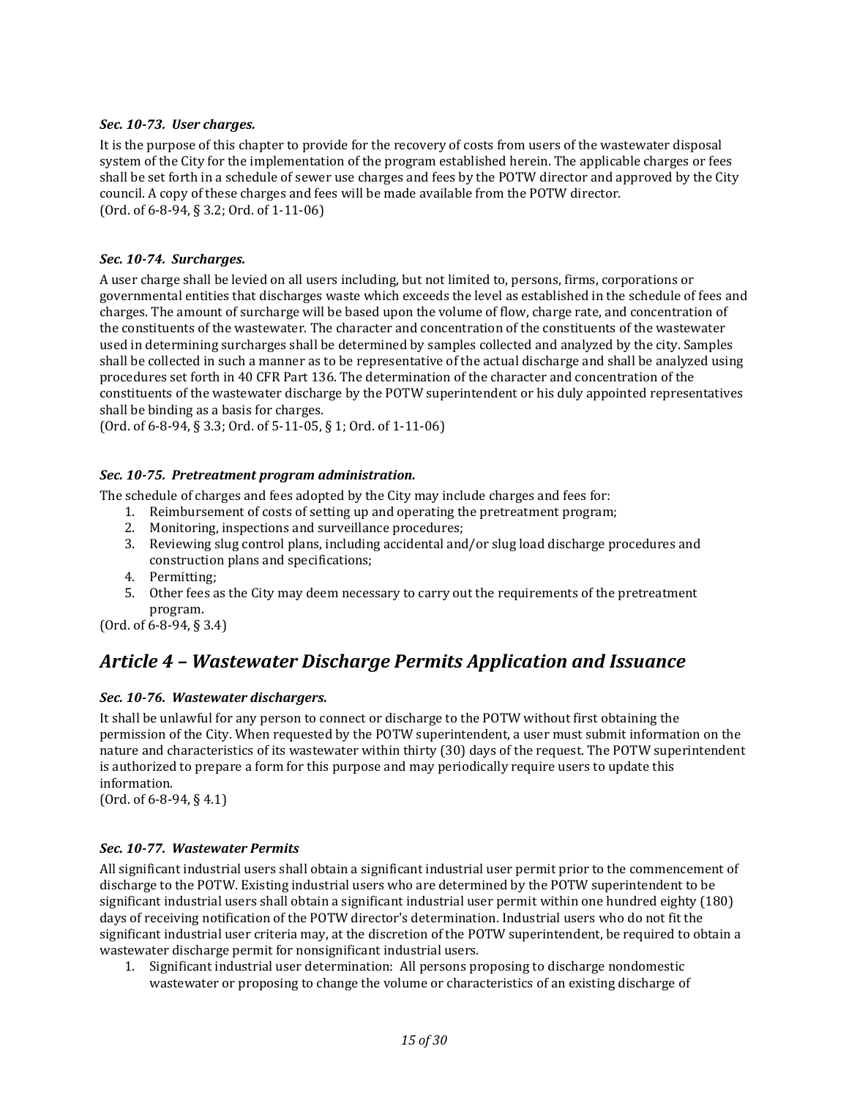## <span id="page-14-0"></span>*Sec. 10-73. User charges.*

It is the purpose of this chapter to provide for the recovery of costs from users of the wastewater disposal system of the City for the implementation of the program established herein. The applicable charges or fees shall be set forth in a schedule of sewer use charges and fees by the POTW director and approved by the City council. A copy of these charges and fees will be made available from the POTW director. (Ord. of 6-8-94, § 3.2; Ord. of 1-11-06)

## <span id="page-14-1"></span>*Sec. 10-74. Surcharges.*

A user charge shall be levied on all users including, but not limited to, persons, firms, corporations or governmental entities that discharges waste which exceeds the level as established in the schedule of fees and charges. The amount of surcharge will be based upon the volume of flow, charge rate, and concentration of the constituents of the wastewater. The character and concentration of the constituents of the wastewater used in determining surcharges shall be determined by samples collected and analyzed by the city. Samples shall be collected in such a manner as to be representative of the actual discharge and shall be analyzed using procedures set forth in 40 CFR Part 136. The determination of the character and concentration of the constituents of the wastewater discharge by the POTW superintendent or his duly appointed representatives shall be binding as a basis for charges.

(Ord. of 6-8-94, § 3.3; Ord. of 5-11-05, § 1; Ord. of 1-11-06)

## <span id="page-14-2"></span>*Sec. 10-75. Pretreatment program administration.*

The schedule of charges and fees adopted by the City may include charges and fees for:

- 1. Reimbursement of costs of setting up and operating the pretreatment program;
- 2. Monitoring, inspections and surveillance procedures;
- 3. Reviewing slug control plans, including accidental and/or slug load discharge procedures and construction plans and specifications;
- 4. Permitting;
- 5. Other fees as the City may deem necessary to carry out the requirements of the pretreatment program.

<span id="page-14-3"></span>(Ord. of 6-8-94, § 3.4)

## *Article 4 – Wastewater Discharge Permits Application and Issuance*

## <span id="page-14-4"></span>*Sec. 10-76. Wastewater dischargers.*

It shall be unlawful for any person to connect or discharge to the POTW without first obtaining the permission of the City. When requested by the POTW superintendent, a user must submit information on the nature and characteristics of its wastewater within thirty (30) days of the request. The POTW superintendent is authorized to prepare a form for this purpose and may periodically require users to update this information.

(Ord. of 6-8-94, § 4.1)

#### <span id="page-14-5"></span>*Sec. 10-77. Wastewater Permits*

All significant industrial users shall obtain a significant industrial user permit prior to the commencement of discharge to the POTW. Existing industrial users who are determined by the POTW superintendent to be significant industrial users shall obtain a significant industrial user permit within one hundred eighty (180) days of receiving notification of the POTW director's determination. Industrial users who do not fit the significant industrial user criteria may, at the discretion of the POTW superintendent, be required to obtain a wastewater discharge permit for nonsignificant industrial users.

1. Significant industrial user determination: All persons proposing to discharge nondomestic wastewater or proposing to change the volume or characteristics of an existing discharge of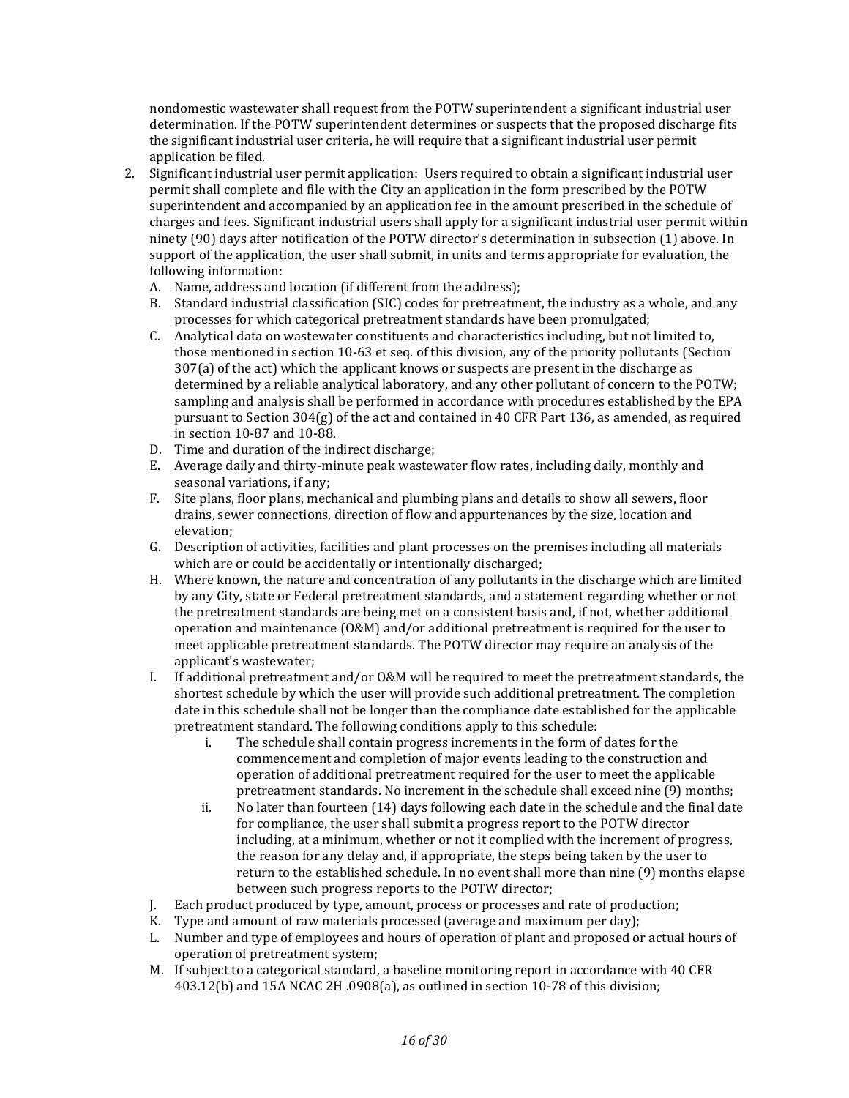nondomestic wastewater shall request from the POTW superintendent a significant industrial user determination. If the POTW superintendent determines or suspects that the proposed discharge fits the significant industrial user criteria, he will require that a significant industrial user permit application be filed.

- 2. Significant industrial user permit application: Users required to obtain a significant industrial user permit shall complete and file with the City an application in the form prescribed by the POTW superintendent and accompanied by an application fee in the amount prescribed in the schedule of charges and fees. Significant industrial users shall apply for a significant industrial user permit within ninety (90) days after notification of the POTW director's determination in subsection (1) above. In support of the application, the user shall submit, in units and terms appropriate for evaluation, the following information:
	- A. Name, address and location (if different from the address);
	- B. Standard industrial classification (SIC) codes for pretreatment, the industry as a whole, and any processes for which categorical pretreatment standards have been promulgated;
	- C. Analytical data on wastewater constituents and characteristics including, but not limited to, those mentioned in section 10-63 et seq. of this division, any of the priority pollutants (Section 307(a) of the act) which the applicant knows or suspects are present in the discharge as determined by a reliable analytical laboratory, and any other pollutant of concern to the POTW; sampling and analysis shall be performed in accordance with procedures established by the EPA pursuant to Section  $304(g)$  of the act and contained in 40 CFR Part 136, as amended, as required in section 10-87 and 10-88.
	- D. Time and duration of the indirect discharge;
	- E. Average daily and thirty-minute peak wastewater flow rates, including daily, monthly and seasonal variations, if any;
	- F. Site plans, floor plans, mechanical and plumbing plans and details to show all sewers, floor drains, sewer connections, direction of flow and appurtenances by the size, location and elevation;
	- G. Description of activities, facilities and plant processes on the premises including all materials which are or could be accidentally or intentionally discharged;
	- H. Where known, the nature and concentration of any pollutants in the discharge which are limited by any City, state or Federal pretreatment standards, and a statement regarding whether or not the pretreatment standards are being met on a consistent basis and, if not, whether additional operation and maintenance (O&M) and/or additional pretreatment is required for the user to meet applicable pretreatment standards. The POTW director may require an analysis of the applicant's wastewater;
	- I. If additional pretreatment and/or O&M will be required to meet the pretreatment standards, the shortest schedule by which the user will provide such additional pretreatment. The completion date in this schedule shall not be longer than the compliance date established for the applicable pretreatment standard. The following conditions apply to this schedule:
		- i. The schedule shall contain progress increments in the form of dates for the commencement and completion of major events leading to the construction and operation of additional pretreatment required for the user to meet the applicable pretreatment standards. No increment in the schedule shall exceed nine (9) months;
		- ii. No later than fourteen (14) days following each date in the schedule and the final date for compliance, the user shall submit a progress report to the POTW director including, at a minimum, whether or not it complied with the increment of progress, the reason for any delay and, if appropriate, the steps being taken by the user to return to the established schedule. In no event shall more than nine (9) months elapse between such progress reports to the POTW director;
	- J. Each product produced by type, amount, process or processes and rate of production;
	- K. Type and amount of raw materials processed (average and maximum per day);
	- L. Number and type of employees and hours of operation of plant and proposed or actual hours of operation of pretreatment system;
	- M. If subject to a categorical standard, a baseline monitoring report in accordance with 40 CFR 403.12(b) and 15A NCAC 2H .0908(a), as outlined in section 10-78 of this division;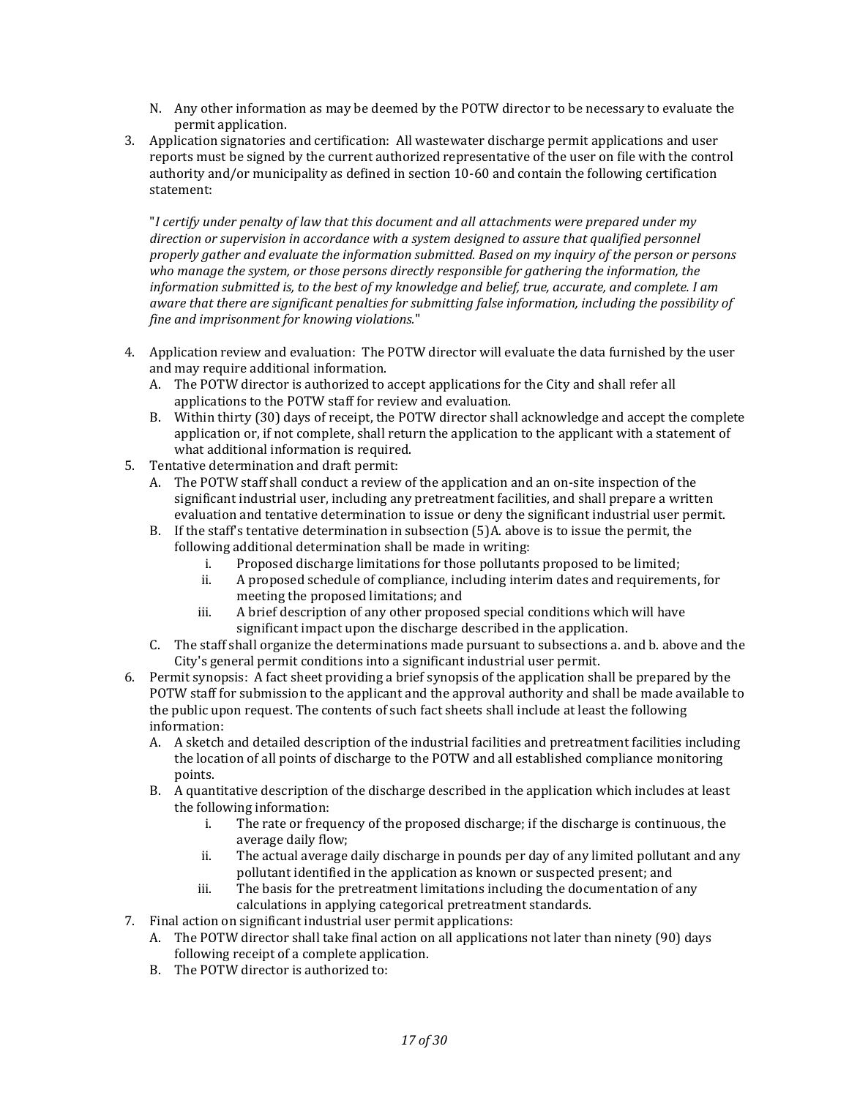- N. Any other information as may be deemed by the POTW director to be necessary to evaluate the permit application.
- 3. Application signatories and certification: All wastewater discharge permit applications and user reports must be signed by the current authorized representative of the user on file with the control authority and/or municipality as defined in section 10-60 and contain the following certification statement:

"*I certify under penalty of law that this document and all attachments were prepared under my direction or supervision in accordance with a system designed to assure that qualified personnel properly gather and evaluate the information submitted. Based on my inquiry of the person or persons who manage the system, or those persons directly responsible for gathering the information, the information submitted is, to the best of my knowledge and belief, true, accurate, and complete. I am aware that there are significant penalties for submitting false information, including the possibility of fine and imprisonment for knowing violations.*"

- 4. Application review and evaluation: The POTW director will evaluate the data furnished by the user and may require additional information.
	- A. The POTW director is authorized to accept applications for the City and shall refer all applications to the POTW staff for review and evaluation.
	- B. Within thirty (30) days of receipt, the POTW director shall acknowledge and accept the complete application or, if not complete, shall return the application to the applicant with a statement of what additional information is required.
- 5. Tentative determination and draft permit:
	- A. The POTW staff shall conduct a review of the application and an on-site inspection of the significant industrial user, including any pretreatment facilities, and shall prepare a written evaluation and tentative determination to issue or deny the significant industrial user permit.
	- B. If the staff's tentative determination in subsection (5)A. above is to issue the permit, the following additional determination shall be made in writing:
		- i. Proposed discharge limitations for those pollutants proposed to be limited;
		- ii. A proposed schedule of compliance, including interim dates and requirements, for meeting the proposed limitations; and
		- iii. A brief description of any other proposed special conditions which will have significant impact upon the discharge described in the application.
	- C. The staff shall organize the determinations made pursuant to subsections a. and b. above and the City's general permit conditions into a significant industrial user permit.
- 6. Permit synopsis: A fact sheet providing a brief synopsis of the application shall be prepared by the POTW staff for submission to the applicant and the approval authority and shall be made available to the public upon request. The contents of such fact sheets shall include at least the following information:
	- A. A sketch and detailed description of the industrial facilities and pretreatment facilities including the location of all points of discharge to the POTW and all established compliance monitoring points.
	- B. A quantitative description of the discharge described in the application which includes at least the following information:
		- i. The rate or frequency of the proposed discharge; if the discharge is continuous, the average daily flow;
		- ii. The actual average daily discharge in pounds per day of any limited pollutant and any pollutant identified in the application as known or suspected present; and
		- iii. The basis for the pretreatment limitations including the documentation of any calculations in applying categorical pretreatment standards.
- 7. Final action on significant industrial user permit applications:
	- A. The POTW director shall take final action on all applications not later than ninety (90) days following receipt of a complete application.
	- B. The POTW director is authorized to: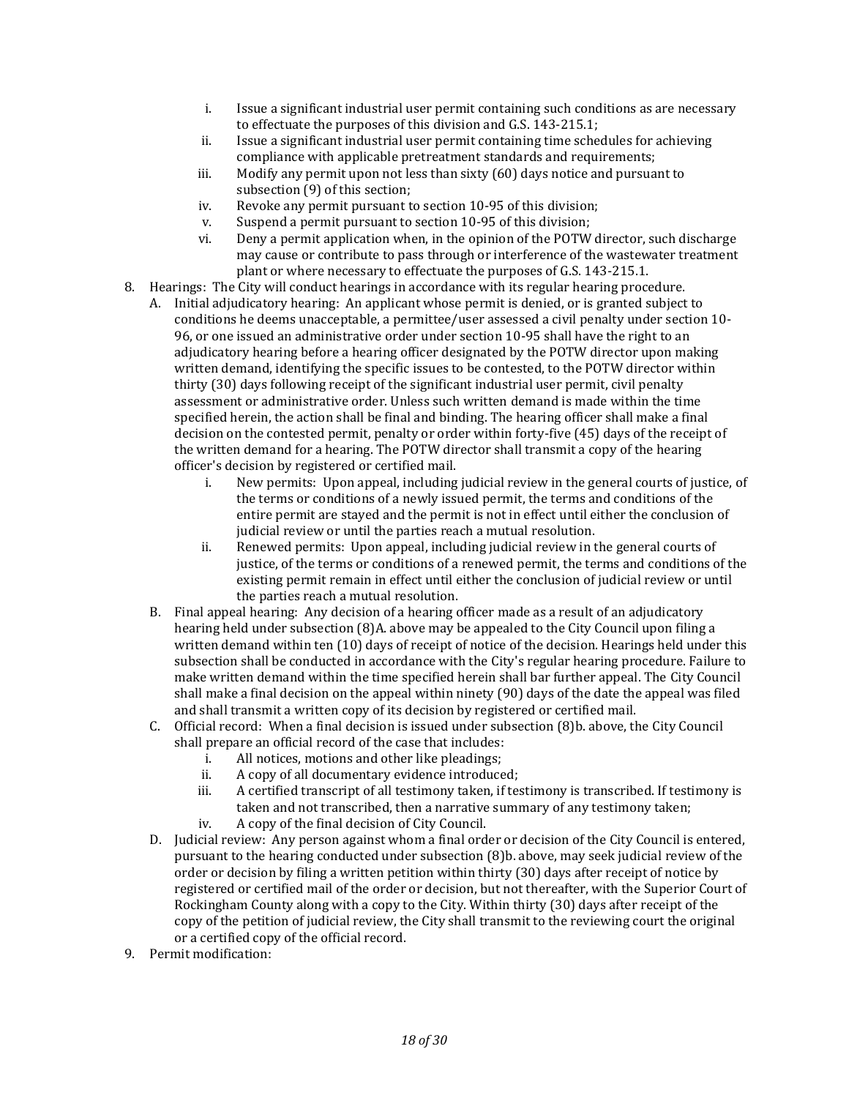- i. Issue a significant industrial user permit containing such conditions as are necessary to effectuate the purposes of this division and G.S. 143-215.1;
- ii. Issue a significant industrial user permit containing time schedules for achieving compliance with applicable pretreatment standards and requirements;
- iii. Modify any permit upon not less than sixty (60) days notice and pursuant to subsection (9) of this section;
- iv. Revoke any permit pursuant to section 10-95 of this division;
- v. Suspend a permit pursuant to section 10-95 of this division;
- vi. Deny a permit application when, in the opinion of the POTW director, such discharge may cause or contribute to pass through or interference of the wastewater treatment plant or where necessary to effectuate the purposes of G.S. 143-215.1.
- 8. Hearings: The City will conduct hearings in accordance with its regular hearing procedure.
	- A. Initial adjudicatory hearing: An applicant whose permit is denied, or is granted subject to conditions he deems unacceptable, a permittee/user assessed a civil penalty under section 10- 96, or one issued an administrative order under section 10-95 shall have the right to an adjudicatory hearing before a hearing officer designated by the POTW director upon making written demand, identifying the specific issues to be contested, to the POTW director within thirty (30) days following receipt of the significant industrial user permit, civil penalty assessment or administrative order. Unless such written demand is made within the time specified herein, the action shall be final and binding. The hearing officer shall make a final decision on the contested permit, penalty or order within forty-five (45) days of the receipt of the written demand for a hearing. The POTW director shall transmit a copy of the hearing officer's decision by registered or certified mail.
		- i. New permits: Upon appeal, including judicial review in the general courts of justice, of the terms or conditions of a newly issued permit, the terms and conditions of the entire permit are stayed and the permit is not in effect until either the conclusion of judicial review or until the parties reach a mutual resolution.
		- ii. Renewed permits: Upon appeal, including judicial review in the general courts of justice, of the terms or conditions of a renewed permit, the terms and conditions of the existing permit remain in effect until either the conclusion of judicial review or until the parties reach a mutual resolution.
	- B. Final appeal hearing: Any decision of a hearing officer made as a result of an adjudicatory hearing held under subsection (8)A. above may be appealed to the City Council upon filing a written demand within ten (10) days of receipt of notice of the decision. Hearings held under this subsection shall be conducted in accordance with the City's regular hearing procedure. Failure to make written demand within the time specified herein shall bar further appeal. The City Council shall make a final decision on the appeal within ninety (90) days of the date the appeal was filed and shall transmit a written copy of its decision by registered or certified mail.
	- C. Official record: When a final decision is issued under subsection (8)b. above, the City Council shall prepare an official record of the case that includes:
		- i. All notices, motions and other like pleadings;
		- ii. A copy of all documentary evidence introduced;
		- iii. A certified transcript of all testimony taken, if testimony is transcribed. If testimony is taken and not transcribed, then a narrative summary of any testimony taken;
		- iv. A copy of the final decision of City Council.
	- D. Judicial review: Any person against whom a final order or decision of the City Council is entered, pursuant to the hearing conducted under subsection (8)b. above, may seek judicial review of the order or decision by filing a written petition within thirty (30) days after receipt of notice by registered or certified mail of the order or decision, but not thereafter, with the Superior Court of Rockingham County along with a copy to the City. Within thirty (30) days after receipt of the copy of the petition of judicial review, the City shall transmit to the reviewing court the original or a certified copy of the official record.
- 9. Permit modification: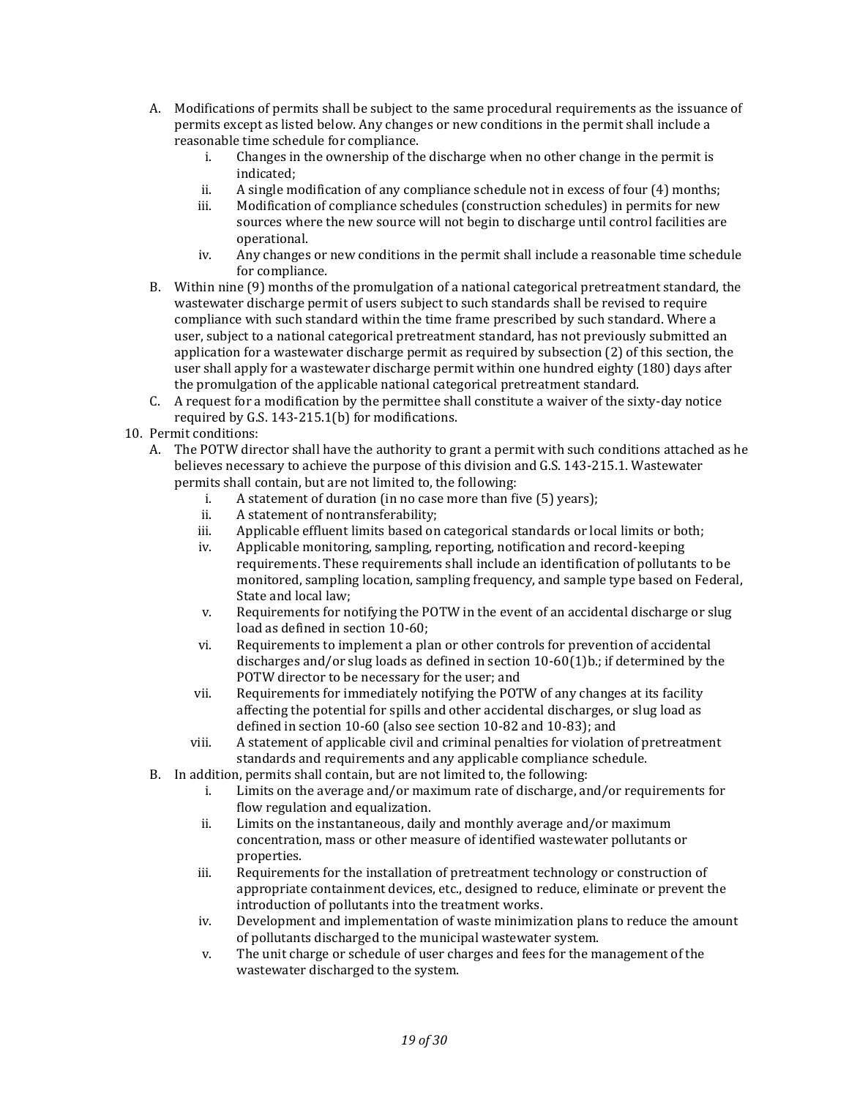- A. Modifications of permits shall be subject to the same procedural requirements as the issuance of permits except as listed below. Any changes or new conditions in the permit shall include a reasonable time schedule for compliance.
	- i. Changes in the ownership of the discharge when no other change in the permit is indicated;
	- ii. A single modification of any compliance schedule not in excess of four (4) months;
	- iii. Modification of compliance schedules (construction schedules) in permits for new sources where the new source will not begin to discharge until control facilities are operational.
	- iv. Any changes or new conditions in the permit shall include a reasonable time schedule for compliance.
- B. Within nine (9) months of the promulgation of a national categorical pretreatment standard, the wastewater discharge permit of users subject to such standards shall be revised to require compliance with such standard within the time frame prescribed by such standard. Where a user, subject to a national categorical pretreatment standard, has not previously submitted an application for a wastewater discharge permit as required by subsection (2) of this section, the user shall apply for a wastewater discharge permit within one hundred eighty (180) days after the promulgation of the applicable national categorical pretreatment standard.
- C. A request for a modification by the permittee shall constitute a waiver of the sixty-day notice required by G.S. 143-215.1(b) for modifications.
- 10. Permit conditions:
	- A. The POTW director shall have the authority to grant a permit with such conditions attached as he believes necessary to achieve the purpose of this division and G.S. 143-215.1. Wastewater permits shall contain, but are not limited to, the following:
		- i. A statement of duration (in no case more than five (5) years);
		- ii. A statement of nontransferability;
		- iii. Applicable effluent limits based on categorical standards or local limits or both;
		- iv. Applicable monitoring, sampling, reporting, notification and record-keeping requirements. These requirements shall include an identification of pollutants to be monitored, sampling location, sampling frequency, and sample type based on Federal, State and local law;
		- v. Requirements for notifying the POTW in the event of an accidental discharge or slug load as defined in section 10-60;
		- vi. Requirements to implement a plan or other controls for prevention of accidental discharges and/or slug loads as defined in section 10-60(1)b.; if determined by the POTW director to be necessary for the user; and
		- vii. Requirements for immediately notifying the POTW of any changes at its facility affecting the potential for spills and other accidental discharges, or slug load as defined in section 10-60 (also see section 10-82 and 10-83); and
		- viii. A statement of applicable civil and criminal penalties for violation of pretreatment standards and requirements and any applicable compliance schedule.
		- B. In addition, permits shall contain, but are not limited to, the following:
			- i. Limits on the average and/or maximum rate of discharge, and/or requirements for flow regulation and equalization.
			- ii. Limits on the instantaneous, daily and monthly average and/or maximum concentration, mass or other measure of identified wastewater pollutants or properties.
			- iii. Requirements for the installation of pretreatment technology or construction of appropriate containment devices, etc., designed to reduce, eliminate or prevent the introduction of pollutants into the treatment works.
			- iv. Development and implementation of waste minimization plans to reduce the amount of pollutants discharged to the municipal wastewater system.
			- v. The unit charge or schedule of user charges and fees for the management of the wastewater discharged to the system.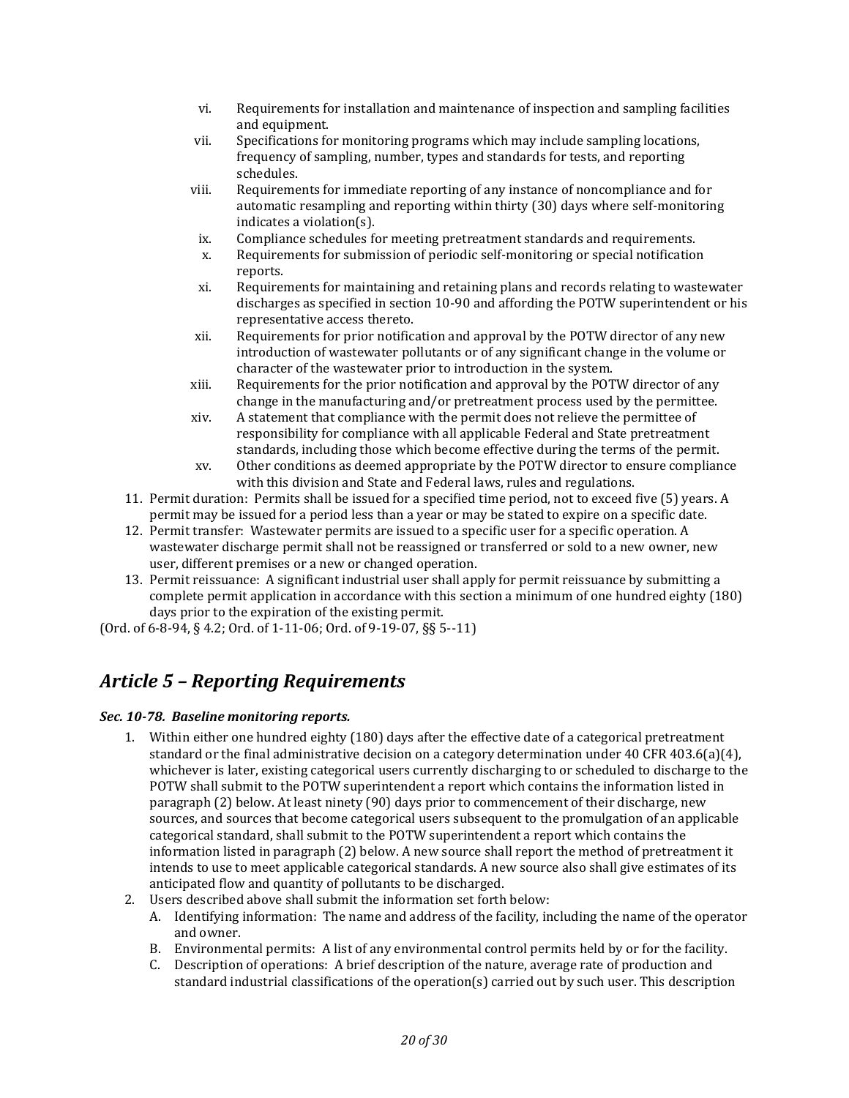- vi. Requirements for installation and maintenance of inspection and sampling facilities and equipment.
- vii. Specifications for monitoring programs which may include sampling locations, frequency of sampling, number, types and standards for tests, and reporting schedules.
- viii. Requirements for immediate reporting of any instance of noncompliance and for automatic resampling and reporting within thirty (30) days where self-monitoring indicates a violation(s).
- ix. Compliance schedules for meeting pretreatment standards and requirements.
- x. Requirements for submission of periodic self-monitoring or special notification reports.
- xi. Requirements for maintaining and retaining plans and records relating to wastewater discharges as specified in section 10-90 and affording the POTW superintendent or his representative access thereto.
- xii. Requirements for prior notification and approval by the POTW director of any new introduction of wastewater pollutants or of any significant change in the volume or character of the wastewater prior to introduction in the system.
- xiii. Requirements for the prior notification and approval by the POTW director of any change in the manufacturing and/or pretreatment process used by the permittee.
- xiv. A statement that compliance with the permit does not relieve the permittee of responsibility for compliance with all applicable Federal and State pretreatment standards, including those which become effective during the terms of the permit.
- xv. Other conditions as deemed appropriate by the POTW director to ensure compliance with this division and State and Federal laws, rules and regulations.
- 11. Permit duration: Permits shall be issued for a specified time period, not to exceed five (5) years. A permit may be issued for a period less than a year or may be stated to expire on a specific date.
- 12. Permit transfer: Wastewater permits are issued to a specific user for a specific operation. A wastewater discharge permit shall not be reassigned or transferred or sold to a new owner, new user, different premises or a new or changed operation.
- 13. Permit reissuance: A significant industrial user shall apply for permit reissuance by submitting a complete permit application in accordance with this section a minimum of one hundred eighty (180) days prior to the expiration of the existing permit.

(Ord. of 6-8-94, § 4.2; Ord. of 1-11-06; Ord. of 9-19-07, §§ 5--11)

## <span id="page-19-0"></span>*Article 5 – Reporting Requirements*

## <span id="page-19-1"></span>*Sec. 10-78. Baseline monitoring reports.*

- 1. Within either one hundred eighty (180) days after the effective date of a categorical pretreatment standard or the final administrative decision on a category determination under 40 CFR 403.6(a)(4), whichever is later, existing categorical users currently discharging to or scheduled to discharge to the POTW shall submit to the POTW superintendent a report which contains the information listed in paragraph (2) below. At least ninety (90) days prior to commencement of their discharge, new sources, and sources that become categorical users subsequent to the promulgation of an applicable categorical standard, shall submit to the POTW superintendent a report which contains the information listed in paragraph (2) below. A new source shall report the method of pretreatment it intends to use to meet applicable categorical standards. A new source also shall give estimates of its anticipated flow and quantity of pollutants to be discharged.
- 2. Users described above shall submit the information set forth below:
	- A. Identifying information: The name and address of the facility, including the name of the operator and owner.
	- B. Environmental permits: A list of any environmental control permits held by or for the facility.
	- C. Description of operations: A brief description of the nature, average rate of production and standard industrial classifications of the operation(s) carried out by such user. This description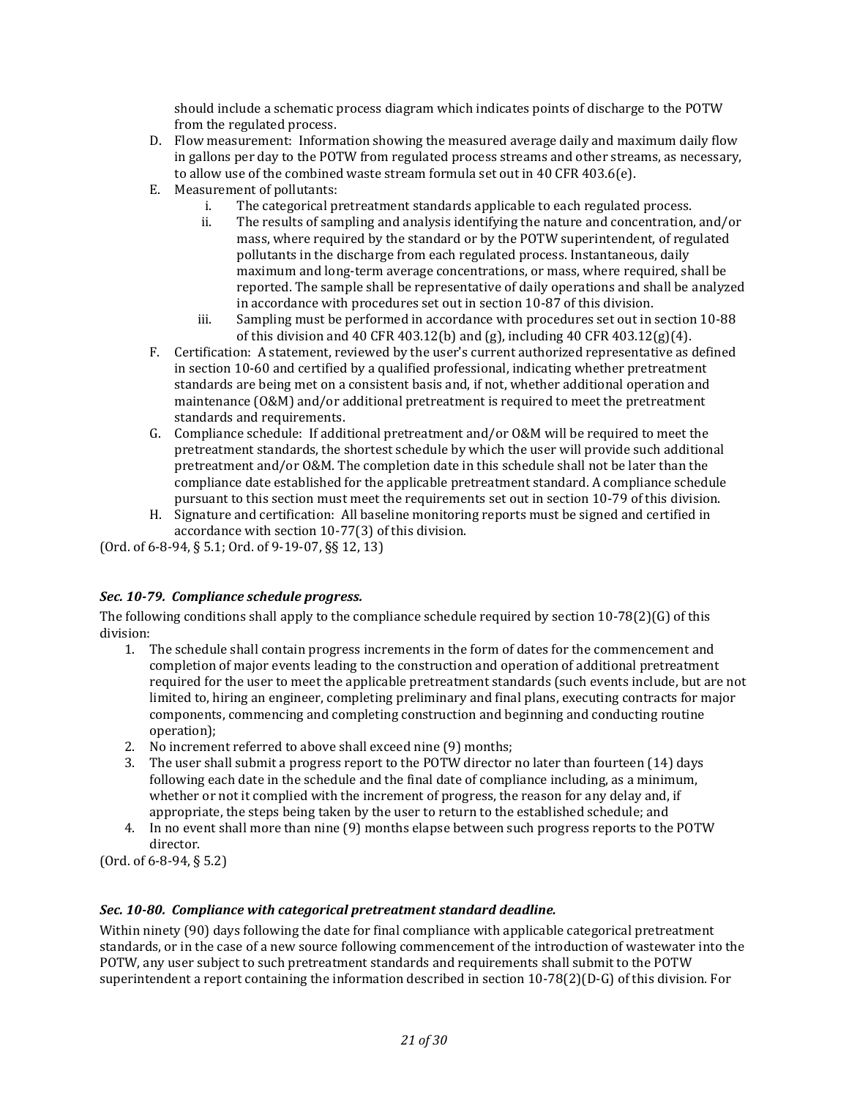should include a schematic process diagram which indicates points of discharge to the POTW from the regulated process.

- D. Flow measurement: Information showing the measured average daily and maximum daily flow in gallons per day to the POTW from regulated process streams and other streams, as necessary, to allow use of the combined waste stream formula set out in 40 CFR 403.6(e).
- E. Measurement of pollutants:
	- i. The categorical pretreatment standards applicable to each regulated process.
	- ii. The results of sampling and analysis identifying the nature and concentration, and/or mass, where required by the standard or by the POTW superintendent, of regulated pollutants in the discharge from each regulated process. Instantaneous, daily maximum and long-term average concentrations, or mass, where required, shall be reported. The sample shall be representative of daily operations and shall be analyzed in accordance with procedures set out in section 10-87 of this division.
	- iii. Sampling must be performed in accordance with procedures set out in section 10-88 of this division and 40 CFR 403.12(b) and (g), including 40 CFR 403.12(g)(4).
- F. Certification: A statement, reviewed by the user's current authorized representative as defined in section 10-60 and certified by a qualified professional, indicating whether pretreatment standards are being met on a consistent basis and, if not, whether additional operation and maintenance (O&M) and/or additional pretreatment is required to meet the pretreatment standards and requirements.
- G. Compliance schedule: If additional pretreatment and/or O&M will be required to meet the pretreatment standards, the shortest schedule by which the user will provide such additional pretreatment and/or O&M. The completion date in this schedule shall not be later than the compliance date established for the applicable pretreatment standard. A compliance schedule pursuant to this section must meet the requirements set out in section 10-79 of this division.
- H. Signature and certification: All baseline monitoring reports must be signed and certified in accordance with section 10-77(3) of this division.

(Ord. of 6-8-94, § 5.1; Ord. of 9-19-07, §§ 12, 13)

## <span id="page-20-0"></span>*Sec. 10-79. Compliance schedule progress.*

The following conditions shall apply to the compliance schedule required by section 10-78(2)(G) of this division:

- 1. The schedule shall contain progress increments in the form of dates for the commencement and completion of major events leading to the construction and operation of additional pretreatment required for the user to meet the applicable pretreatment standards (such events include, but are not limited to, hiring an engineer, completing preliminary and final plans, executing contracts for major components, commencing and completing construction and beginning and conducting routine operation);
- 2. No increment referred to above shall exceed nine (9) months;
- 3. The user shall submit a progress report to the POTW director no later than fourteen (14) days following each date in the schedule and the final date of compliance including, as a minimum, whether or not it complied with the increment of progress, the reason for any delay and, if appropriate, the steps being taken by the user to return to the established schedule; and
- 4. In no event shall more than nine (9) months elapse between such progress reports to the POTW director.

(Ord. of 6-8-94, § 5.2)

## <span id="page-20-1"></span>*Sec. 10-80. Compliance with categorical pretreatment standard deadline.*

Within ninety (90) days following the date for final compliance with applicable categorical pretreatment standards, or in the case of a new source following commencement of the introduction of wastewater into the POTW, any user subject to such pretreatment standards and requirements shall submit to the POTW superintendent a report containing the information described in section 10-78(2)(D-G) of this division. For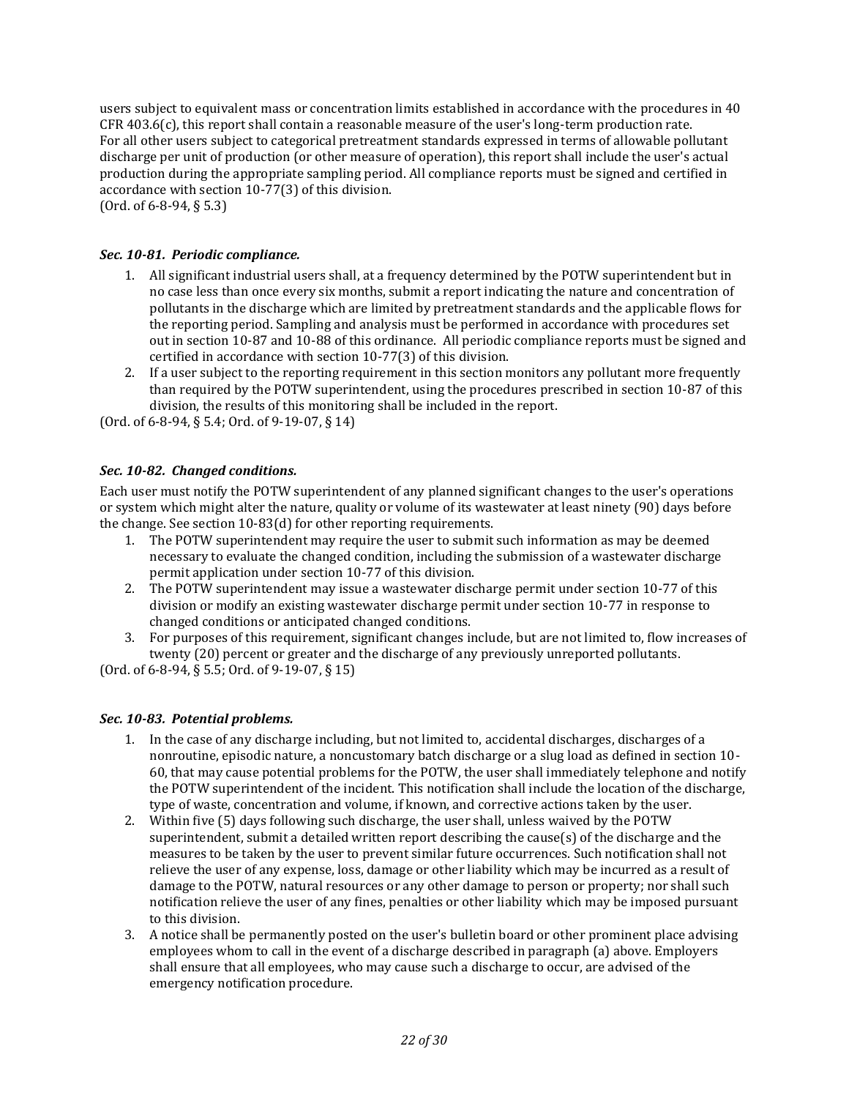users subject to equivalent mass or concentration limits established in accordance with the procedures in 40 CFR 403.6(c), this report shall contain a reasonable measure of the user's long-term production rate. For all other users subject to categorical pretreatment standards expressed in terms of allowable pollutant discharge per unit of production (or other measure of operation), this report shall include the user's actual production during the appropriate sampling period. All compliance reports must be signed and certified in accordance with section 10-77(3) of this division. (Ord. of 6-8-94, § 5.3)

## <span id="page-21-0"></span>*Sec. 10-81. Periodic compliance.*

- 1. All significant industrial users shall, at a frequency determined by the POTW superintendent but in no case less than once every six months, submit a report indicating the nature and concentration of pollutants in the discharge which are limited by pretreatment standards and the applicable flows for the reporting period. Sampling and analysis must be performed in accordance with procedures set out in section 10-87 and 10-88 of this ordinance. All periodic compliance reports must be signed and certified in accordance with section 10-77(3) of this division.
- 2. If a user subject to the reporting requirement in this section monitors any pollutant more frequently than required by the POTW superintendent, using the procedures prescribed in section 10-87 of this division, the results of this monitoring shall be included in the report.

(Ord. of 6-8-94, § 5.4; Ord. of 9-19-07, § 14)

## <span id="page-21-1"></span>*Sec. 10-82. Changed conditions.*

Each user must notify the POTW superintendent of any planned significant changes to the user's operations or system which might alter the nature, quality or volume of its wastewater at least ninety (90) days before the change. See section 10-83(d) for other reporting requirements.

- 1. The POTW superintendent may require the user to submit such information as may be deemed necessary to evaluate the changed condition, including the submission of a wastewater discharge permit application under section 10-77 of this division.
- 2. The POTW superintendent may issue a wastewater discharge permit under section 10-77 of this division or modify an existing wastewater discharge permit under section 10-77 in response to changed conditions or anticipated changed conditions.
- 3. For purposes of this requirement, significant changes include, but are not limited to, flow increases of twenty (20) percent or greater and the discharge of any previously unreported pollutants.

(Ord. of 6-8-94, § 5.5; Ord. of 9-19-07, § 15)

#### <span id="page-21-2"></span>*Sec. 10-83. Potential problems.*

- 1. In the case of any discharge including, but not limited to, accidental discharges, discharges of a nonroutine, episodic nature, a noncustomary batch discharge or a slug load as defined in section 10- 60, that may cause potential problems for the POTW, the user shall immediately telephone and notify the POTW superintendent of the incident. This notification shall include the location of the discharge, type of waste, concentration and volume, if known, and corrective actions taken by the user.
- 2. Within five (5) days following such discharge, the user shall, unless waived by the POTW superintendent, submit a detailed written report describing the cause(s) of the discharge and the measures to be taken by the user to prevent similar future occurrences. Such notification shall not relieve the user of any expense, loss, damage or other liability which may be incurred as a result of damage to the POTW, natural resources or any other damage to person or property; nor shall such notification relieve the user of any fines, penalties or other liability which may be imposed pursuant to this division.
- 3. A notice shall be permanently posted on the user's bulletin board or other prominent place advising employees whom to call in the event of a discharge described in paragraph (a) above. Employers shall ensure that all employees, who may cause such a discharge to occur, are advised of the emergency notification procedure.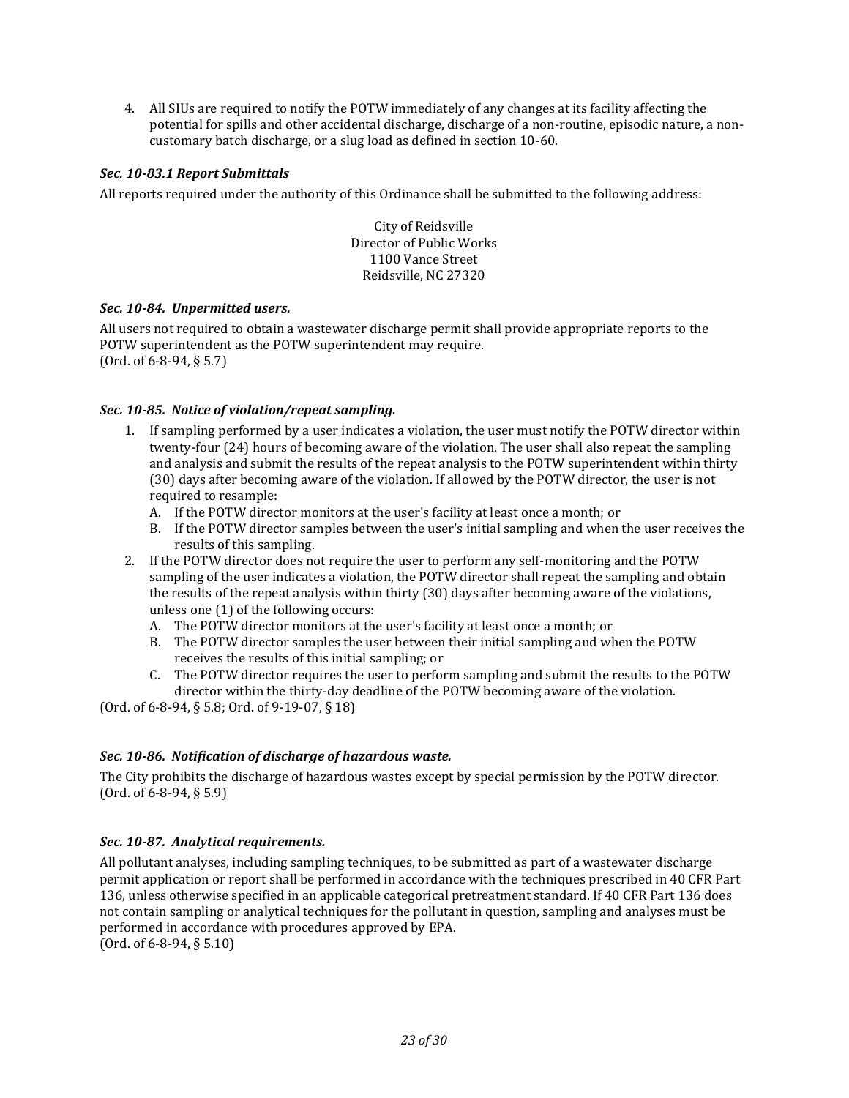4. All SIUs are required to notify the POTW immediately of any changes at its facility affecting the potential for spills and other accidental discharge, discharge of a non-routine, episodic nature, a noncustomary batch discharge, or a slug load as defined in section 10-60.

## <span id="page-22-0"></span>*Sec. 10-83.1 Report Submittals*

All reports required under the authority of this Ordinance shall be submitted to the following address:

City of Reidsville Director of Public Works 1100 Vance Street Reidsville, NC 27320

#### <span id="page-22-1"></span>*Sec. 10-84. Unpermitted users.*

All users not required to obtain a wastewater discharge permit shall provide appropriate reports to the POTW superintendent as the POTW superintendent may require. (Ord. of 6-8-94, § 5.7)

## <span id="page-22-2"></span>*Sec. 10-85. Notice of violation/repeat sampling.*

- 1. If sampling performed by a user indicates a violation, the user must notify the POTW director within twenty-four (24) hours of becoming aware of the violation. The user shall also repeat the sampling and analysis and submit the results of the repeat analysis to the POTW superintendent within thirty (30) days after becoming aware of the violation. If allowed by the POTW director, the user is not required to resample:
	- A. If the POTW director monitors at the user's facility at least once a month; or
	- B. If the POTW director samples between the user's initial sampling and when the user receives the results of this sampling.
- 2. If the POTW director does not require the user to perform any self-monitoring and the POTW sampling of the user indicates a violation, the POTW director shall repeat the sampling and obtain the results of the repeat analysis within thirty (30) days after becoming aware of the violations, unless one (1) of the following occurs:
	- A. The POTW director monitors at the user's facility at least once a month; or
	- B. The POTW director samples the user between their initial sampling and when the POTW receives the results of this initial sampling; or
	- C. The POTW director requires the user to perform sampling and submit the results to the POTW director within the thirty-day deadline of the POTW becoming aware of the violation.

(Ord. of 6-8-94, § 5.8; Ord. of 9-19-07, § 18)

#### <span id="page-22-3"></span>*Sec. 10-86. Notification of discharge of hazardous waste.*

The City prohibits the discharge of hazardous wastes except by special permission by the POTW director. (Ord. of 6-8-94, § 5.9)

## <span id="page-22-4"></span>*Sec. 10-87. Analytical requirements.*

All pollutant analyses, including sampling techniques, to be submitted as part of a wastewater discharge permit application or report shall be performed in accordance with the techniques prescribed in 40 CFR Part 136, unless otherwise specified in an applicable categorical pretreatment standard. If 40 CFR Part 136 does not contain sampling or analytical techniques for the pollutant in question, sampling and analyses must be performed in accordance with procedures approved by EPA. (Ord. of 6-8-94, § 5.10)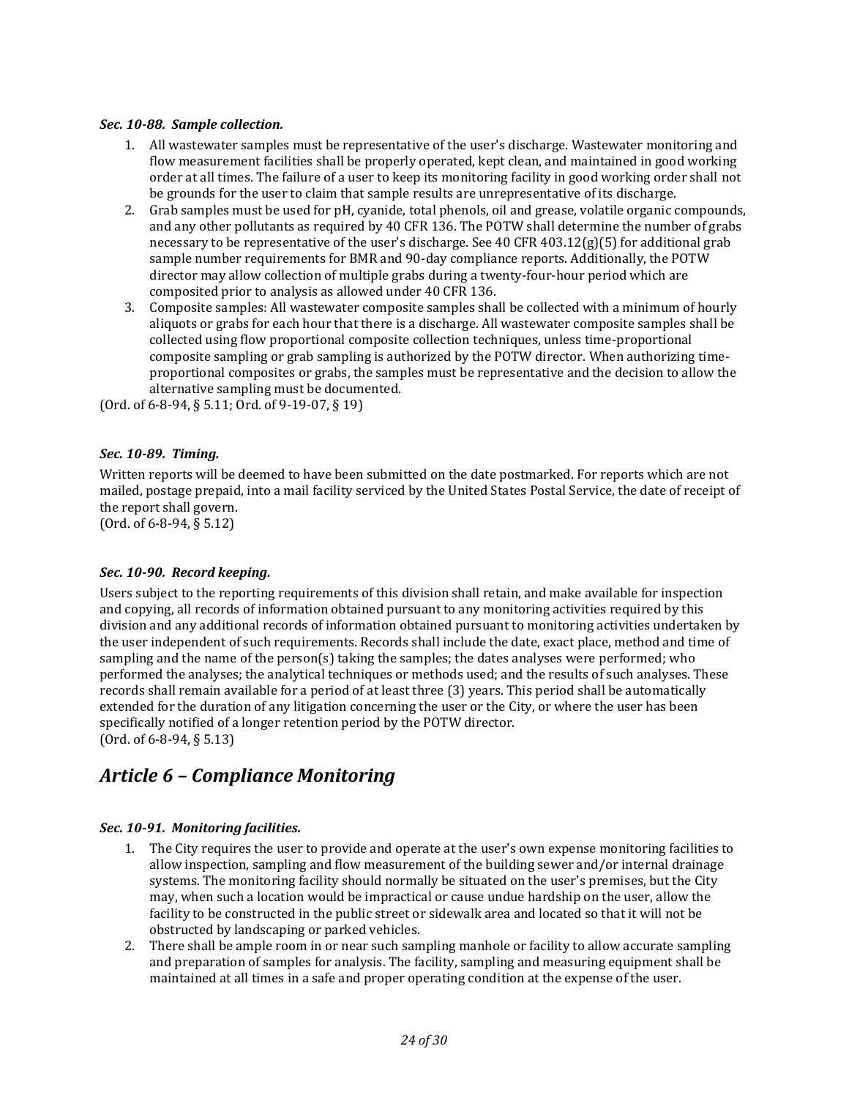#### <span id="page-23-0"></span>*Sec. 10-88. Sample collection.*

- 1. All wastewater samples must be representative of the user's discharge. Wastewater monitoring and flow measurement facilities shall be properly operated, kept clean, and maintained in good working order at all times. The failure of a user to keep its monitoring facility in good working order shall not be grounds for the user to claim that sample results are unrepresentative of its discharge.
- 2. Grab samples must be used for pH, cyanide, total phenols, oil and grease, volatile organic compounds, and any other pollutants as required by 40 CFR 136. The POTW shall determine the number of grabs necessary to be representative of the user's discharge. See 40 CFR  $403.12(g)(5)$  for additional grab sample number requirements for BMR and 90-day compliance reports. Additionally, the POTW director may allow collection of multiple grabs during a twenty-four-hour period which are composited prior to analysis as allowed under 40 CFR 136.
- 3. Composite samples: All wastewater composite samples shall be collected with a minimum of hourly aliquots or grabs for each hour that there is a discharge. All wastewater composite samples shall be collected using flow proportional composite collection techniques, unless time-proportional composite sampling or grab sampling is authorized by the POTW director. When authorizing timeproportional composites or grabs, the samples must be representative and the decision to allow the alternative sampling must be documented.

(Ord. of 6-8-94, § 5.11; Ord. of 9-19-07, § 19)

## <span id="page-23-1"></span>*Sec. 10-89. Timing.*

Written reports will be deemed to have been submitted on the date postmarked. For reports which are not mailed, postage prepaid, into a mail facility serviced by the United States Postal Service, the date of receipt of the report shall govern.

(Ord. of 6-8-94, § 5.12)

## <span id="page-23-2"></span>*Sec. 10-90. Record keeping.*

Users subject to the reporting requirements of this division shall retain, and make available for inspection and copying, all records of information obtained pursuant to any monitoring activities required by this division and any additional records of information obtained pursuant to monitoring activities undertaken by the user independent of such requirements. Records shall include the date, exact place, method and time of sampling and the name of the person(s) taking the samples; the dates analyses were performed; who performed the analyses; the analytical techniques or methods used; and the results of such analyses. These records shall remain available for a period of at least three (3) years. This period shall be automatically extended for the duration of any litigation concerning the user or the City, or where the user has been specifically notified of a longer retention period by the POTW director. (Ord. of 6-8-94, § 5.13)

## <span id="page-23-3"></span>*Article 6 – Compliance Monitoring*

## <span id="page-23-4"></span>*Sec. 10-91. Monitoring facilities.*

- 1. The City requires the user to provide and operate at the user's own expense monitoring facilities to allow inspection, sampling and flow measurement of the building sewer and/or internal drainage systems. The monitoring facility should normally be situated on the user's premises, but the City may, when such a location would be impractical or cause undue hardship on the user, allow the facility to be constructed in the public street or sidewalk area and located so that it will not be obstructed by landscaping or parked vehicles.
- 2. There shall be ample room in or near such sampling manhole or facility to allow accurate sampling and preparation of samples for analysis. The facility, sampling and measuring equipment shall be maintained at all times in a safe and proper operating condition at the expense of the user.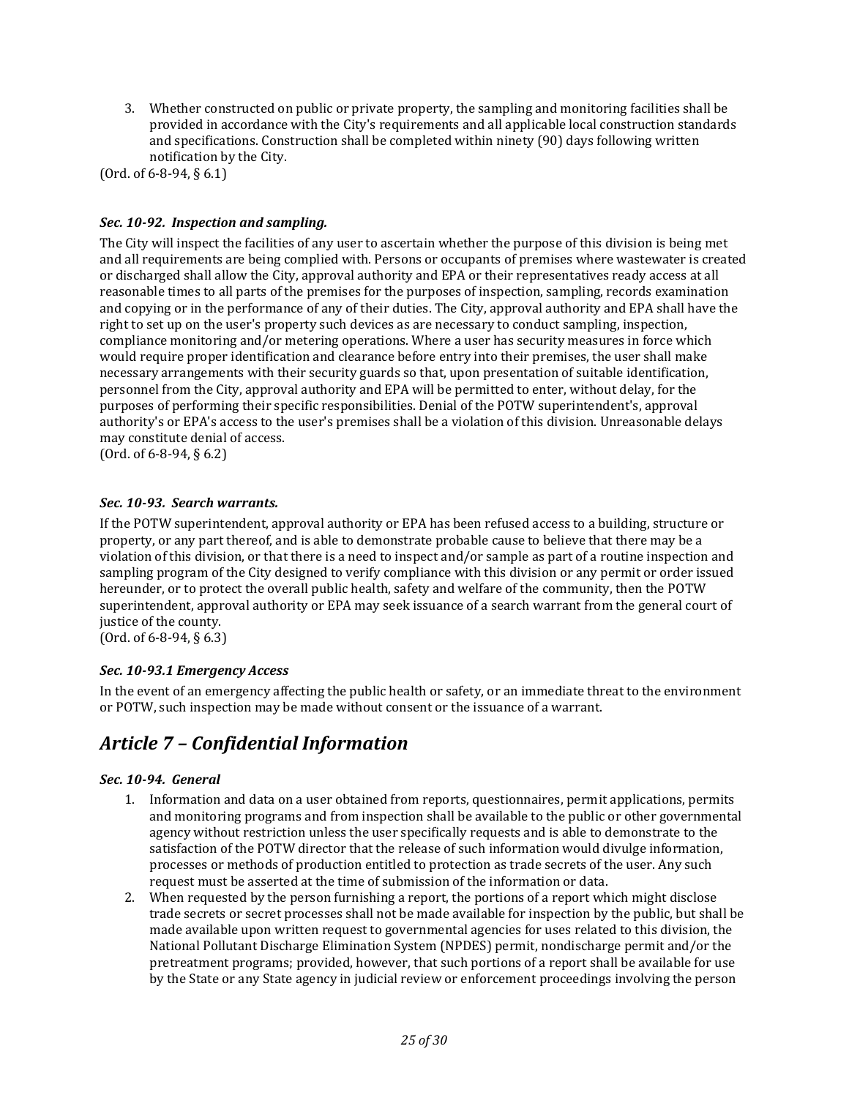3. Whether constructed on public or private property, the sampling and monitoring facilities shall be provided in accordance with the City's requirements and all applicable local construction standards and specifications. Construction shall be completed within ninety (90) days following written notification by the City.

(Ord. of 6-8-94, § 6.1)

## <span id="page-24-0"></span>*Sec. 10-92. Inspection and sampling.*

The City will inspect the facilities of any user to ascertain whether the purpose of this division is being met and all requirements are being complied with. Persons or occupants of premises where wastewater is created or discharged shall allow the City, approval authority and EPA or their representatives ready access at all reasonable times to all parts of the premises for the purposes of inspection, sampling, records examination and copying or in the performance of any of their duties. The City, approval authority and EPA shall have the right to set up on the user's property such devices as are necessary to conduct sampling, inspection, compliance monitoring and/or metering operations. Where a user has security measures in force which would require proper identification and clearance before entry into their premises, the user shall make necessary arrangements with their security guards so that, upon presentation of suitable identification, personnel from the City, approval authority and EPA will be permitted to enter, without delay, for the purposes of performing their specific responsibilities. Denial of the POTW superintendent's, approval authority's or EPA's access to the user's premises shall be a violation of this division. Unreasonable delays may constitute denial of access.

(Ord. of 6-8-94, § 6.2)

#### <span id="page-24-1"></span>*Sec. 10-93. Search warrants.*

If the POTW superintendent, approval authority or EPA has been refused access to a building, structure or property, or any part thereof, and is able to demonstrate probable cause to believe that there may be a violation of this division, or that there is a need to inspect and/or sample as part of a routine inspection and sampling program of the City designed to verify compliance with this division or any permit or order issued hereunder, or to protect the overall public health, safety and welfare of the community, then the POTW superintendent, approval authority or EPA may seek issuance of a search warrant from the general court of justice of the county.

<span id="page-24-2"></span>(Ord. of 6-8-94, § 6.3)

#### *Sec. 10-93.1 Emergency Access*

In the event of an emergency affecting the public health or safety, or an immediate threat to the environment or POTW, such inspection may be made without consent or the issuance of a warrant.

## <span id="page-24-3"></span>*Article 7 – Confidential Information*

#### <span id="page-24-4"></span>*Sec. 10-94. General*

- 1. Information and data on a user obtained from reports, questionnaires, permit applications, permits and monitoring programs and from inspection shall be available to the public or other governmental agency without restriction unless the user specifically requests and is able to demonstrate to the satisfaction of the POTW director that the release of such information would divulge information, processes or methods of production entitled to protection as trade secrets of the user. Any such request must be asserted at the time of submission of the information or data.
- 2. When requested by the person furnishing a report, the portions of a report which might disclose trade secrets or secret processes shall not be made available for inspection by the public, but shall be made available upon written request to governmental agencies for uses related to this division, the National Pollutant Discharge Elimination System (NPDES) permit, nondischarge permit and/or the pretreatment programs; provided, however, that such portions of a report shall be available for use by the State or any State agency in judicial review or enforcement proceedings involving the person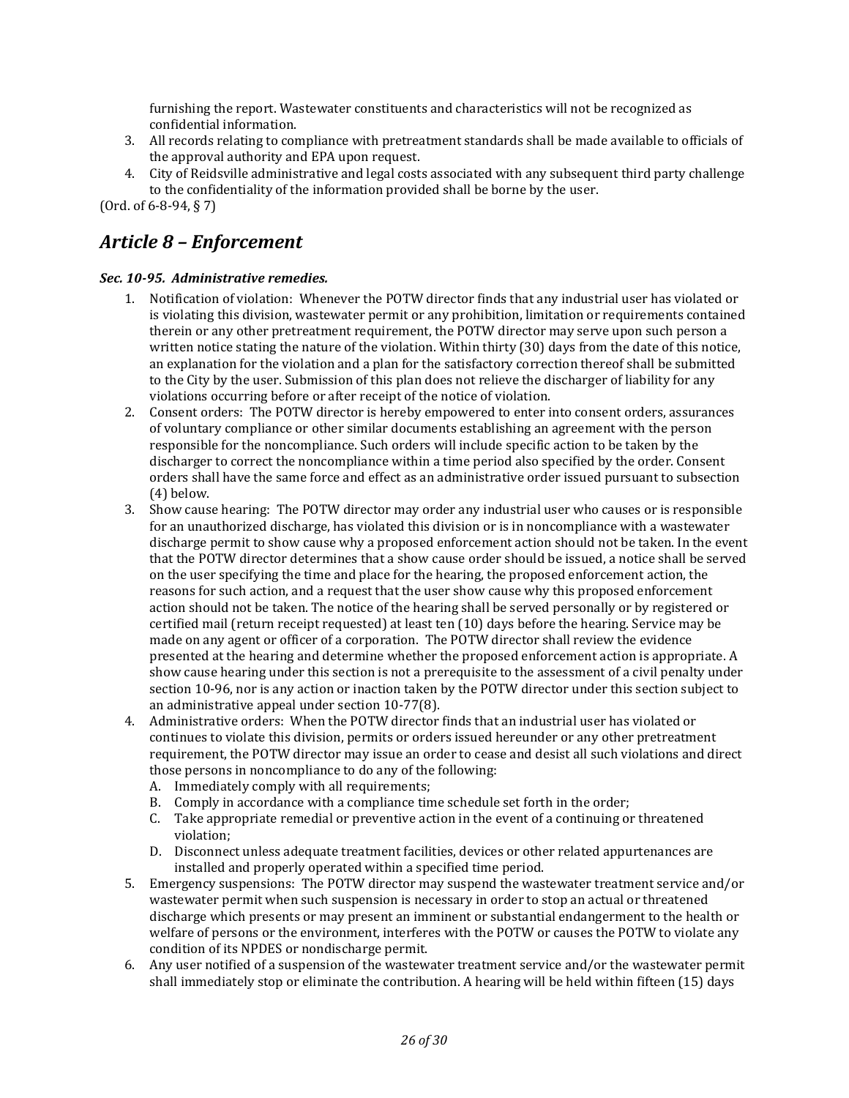furnishing the report. Wastewater constituents and characteristics will not be recognized as confidential information.

- 3. All records relating to compliance with pretreatment standards shall be made available to officials of the approval authority and EPA upon request.
- 4. City of Reidsville administrative and legal costs associated with any subsequent third party challenge to the confidentiality of the information provided shall be borne by the user.

(Ord. of 6-8-94, § 7)

## <span id="page-25-0"></span>*Article 8 – Enforcement*

## <span id="page-25-1"></span>*Sec. 10-95. Administrative remedies.*

- 1. Notification of violation: Whenever the POTW director finds that any industrial user has violated or is violating this division, wastewater permit or any prohibition, limitation or requirements contained therein or any other pretreatment requirement, the POTW director may serve upon such person a written notice stating the nature of the violation. Within thirty (30) days from the date of this notice, an explanation for the violation and a plan for the satisfactory correction thereof shall be submitted to the City by the user. Submission of this plan does not relieve the discharger of liability for any violations occurring before or after receipt of the notice of violation.
- 2. Consent orders: The POTW director is hereby empowered to enter into consent orders, assurances of voluntary compliance or other similar documents establishing an agreement with the person responsible for the noncompliance. Such orders will include specific action to be taken by the discharger to correct the noncompliance within a time period also specified by the order. Consent orders shall have the same force and effect as an administrative order issued pursuant to subsection (4) below.
- 3. Show cause hearing: The POTW director may order any industrial user who causes or is responsible for an unauthorized discharge, has violated this division or is in noncompliance with a wastewater discharge permit to show cause why a proposed enforcement action should not be taken. In the event that the POTW director determines that a show cause order should be issued, a notice shall be served on the user specifying the time and place for the hearing, the proposed enforcement action, the reasons for such action, and a request that the user show cause why this proposed enforcement action should not be taken. The notice of the hearing shall be served personally or by registered or certified mail (return receipt requested) at least ten (10) days before the hearing. Service may be made on any agent or officer of a corporation. The POTW director shall review the evidence presented at the hearing and determine whether the proposed enforcement action is appropriate. A show cause hearing under this section is not a prerequisite to the assessment of a civil penalty under section 10-96, nor is any action or inaction taken by the POTW director under this section subject to an administrative appeal under section 10-77(8).
- 4. Administrative orders: When the POTW director finds that an industrial user has violated or continues to violate this division, permits or orders issued hereunder or any other pretreatment requirement, the POTW director may issue an order to cease and desist all such violations and direct those persons in noncompliance to do any of the following:
	- A. Immediately comply with all requirements;
	- B. Comply in accordance with a compliance time schedule set forth in the order;
	- C. Take appropriate remedial or preventive action in the event of a continuing or threatened violation;
	- D. Disconnect unless adequate treatment facilities, devices or other related appurtenances are installed and properly operated within a specified time period.
- 5. Emergency suspensions: The POTW director may suspend the wastewater treatment service and/or wastewater permit when such suspension is necessary in order to stop an actual or threatened discharge which presents or may present an imminent or substantial endangerment to the health or welfare of persons or the environment, interferes with the POTW or causes the POTW to violate any condition of its NPDES or nondischarge permit.
- 6. Any user notified of a suspension of the wastewater treatment service and/or the wastewater permit shall immediately stop or eliminate the contribution. A hearing will be held within fifteen (15) days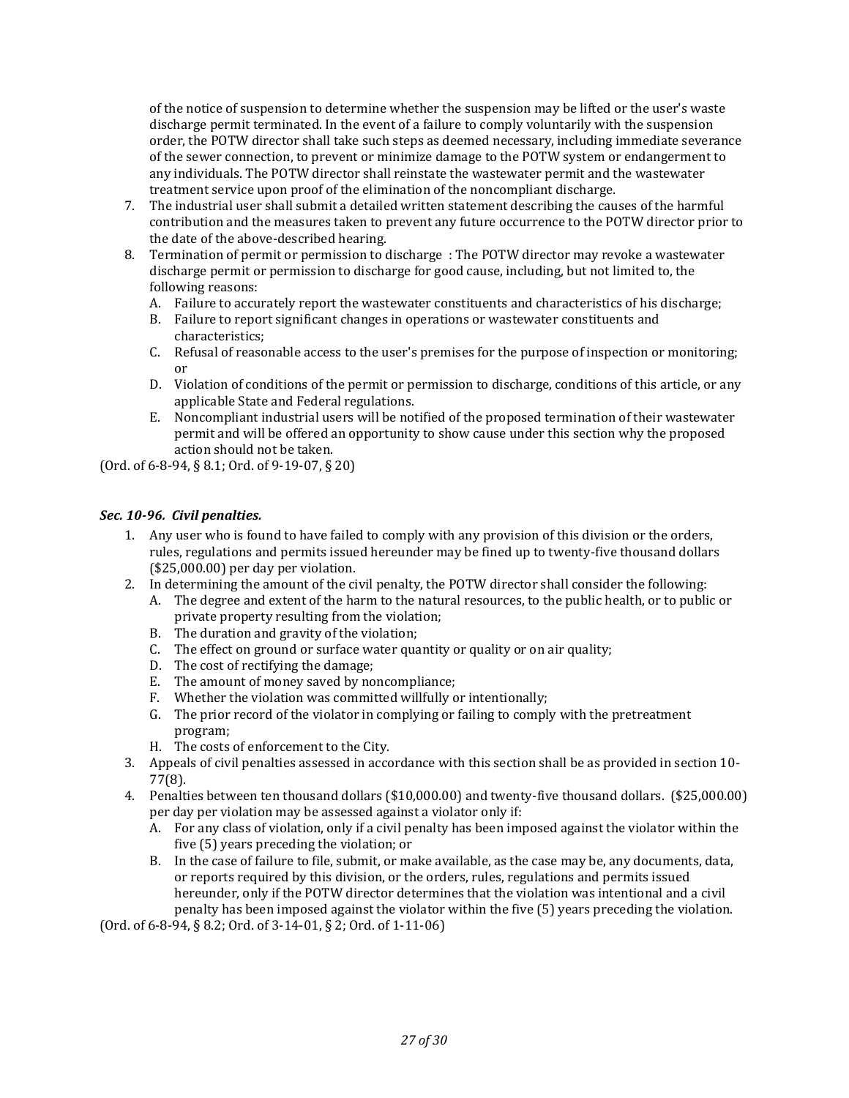of the notice of suspension to determine whether the suspension may be lifted or the user's waste discharge permit terminated. In the event of a failure to comply voluntarily with the suspension order, the POTW director shall take such steps as deemed necessary, including immediate severance of the sewer connection, to prevent or minimize damage to the POTW system or endangerment to any individuals. The POTW director shall reinstate the wastewater permit and the wastewater treatment service upon proof of the elimination of the noncompliant discharge.

- 7. The industrial user shall submit a detailed written statement describing the causes of the harmful contribution and the measures taken to prevent any future occurrence to the POTW director prior to the date of the above-described hearing.
- 8. Termination of permit or permission to discharge : The POTW director may revoke a wastewater discharge permit or permission to discharge for good cause, including, but not limited to, the following reasons:
	- A. Failure to accurately report the wastewater constituents and characteristics of his discharge;
	- B. Failure to report significant changes in operations or wastewater constituents and characteristics;
	- C. Refusal of reasonable access to the user's premises for the purpose of inspection or monitoring; or
	- D. Violation of conditions of the permit or permission to discharge, conditions of this article, or any applicable State and Federal regulations.
	- E. Noncompliant industrial users will be notified of the proposed termination of their wastewater permit and will be offered an opportunity to show cause under this section why the proposed action should not be taken.

(Ord. of 6-8-94, § 8.1; Ord. of 9-19-07, § 20)

## <span id="page-26-0"></span>*Sec. 10-96. Civil penalties.*

- 1. Any user who is found to have failed to comply with any provision of this division or the orders, rules, regulations and permits issued hereunder may be fined up to twenty-five thousand dollars (\$25,000.00) per day per violation.
- 2. In determining the amount of the civil penalty, the POTW director shall consider the following:
	- A. The degree and extent of the harm to the natural resources, to the public health, or to public or private property resulting from the violation;
	- B. The duration and gravity of the violation;
	- C. The effect on ground or surface water quantity or quality or on air quality;
	- D. The cost of rectifying the damage;
	- E. The amount of money saved by noncompliance;
	- F. Whether the violation was committed willfully or intentionally;
	- G. The prior record of the violator in complying or failing to comply with the pretreatment program;
	- H. The costs of enforcement to the City.
- 3. Appeals of civil penalties assessed in accordance with this section shall be as provided in section 10- 77(8).
- 4. Penalties between ten thousand dollars (\$10,000.00) and twenty-five thousand dollars. (\$25,000.00) per day per violation may be assessed against a violator only if:
	- A. For any class of violation, only if a civil penalty has been imposed against the violator within the five (5) years preceding the violation; or
	- B. In the case of failure to file, submit, or make available, as the case may be, any documents, data, or reports required by this division, or the orders, rules, regulations and permits issued hereunder, only if the POTW director determines that the violation was intentional and a civil penalty has been imposed against the violator within the five (5) years preceding the violation.

(Ord. of 6-8-94, § 8.2; Ord. of 3-14-01, § 2; Ord. of 1-11-06)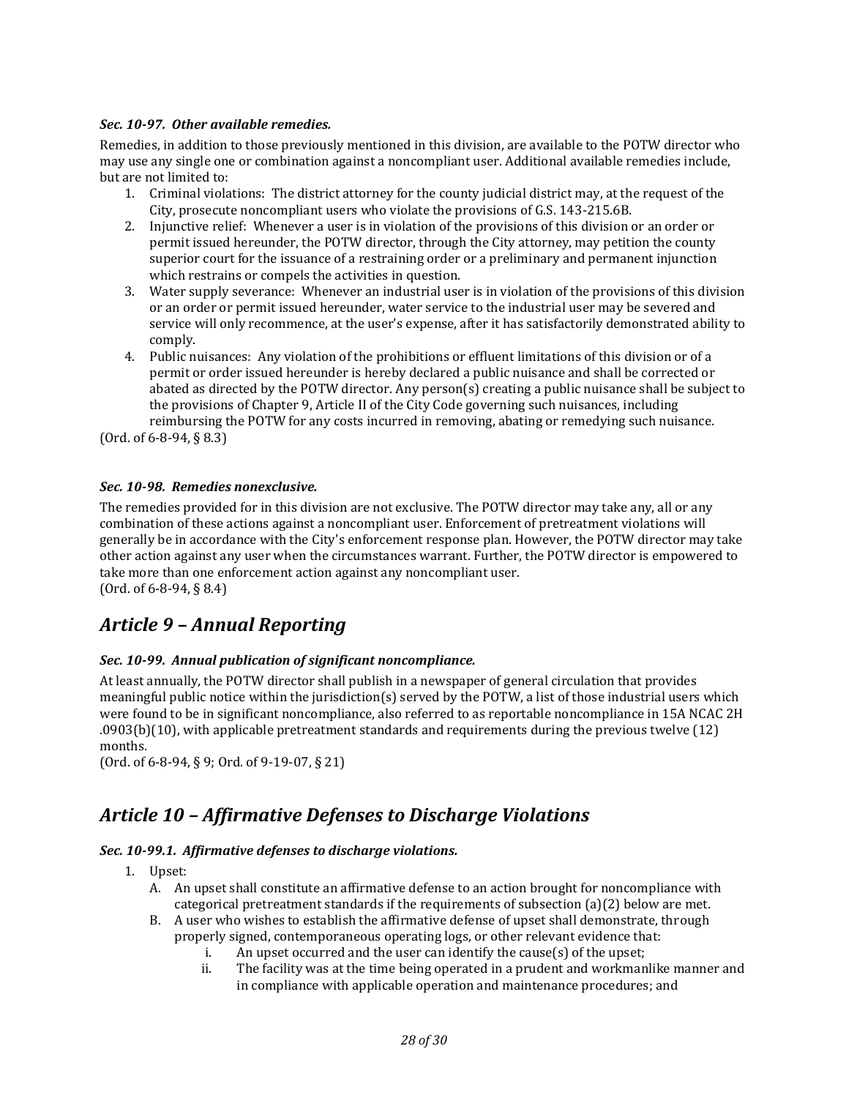## <span id="page-27-0"></span>*Sec. 10-97. Other available remedies.*

Remedies, in addition to those previously mentioned in this division, are available to the POTW director who may use any single one or combination against a noncompliant user. Additional available remedies include, but are not limited to:

- 1. Criminal violations: The district attorney for the county judicial district may, at the request of the City, prosecute noncompliant users who violate the provisions of G.S. 143-215.6B.
- 2. Injunctive relief: Whenever a user is in violation of the provisions of this division or an order or permit issued hereunder, the POTW director, through the City attorney, may petition the county superior court for the issuance of a restraining order or a preliminary and permanent injunction which restrains or compels the activities in question.
- 3. Water supply severance: Whenever an industrial user is in violation of the provisions of this division or an order or permit issued hereunder, water service to the industrial user may be severed and service will only recommence, at the user's expense, after it has satisfactorily demonstrated ability to comply.
- 4. Public nuisances: Any violation of the prohibitions or effluent limitations of this division or of a permit or order issued hereunder is hereby declared a public nuisance and shall be corrected or abated as directed by the POTW director. Any person(s) creating a public nuisance shall be subject to the provisions of Chapter 9, Article II of the City Code governing such nuisances, including reimbursing the POTW for any costs incurred in removing, abating or remedying such nuisance.

(Ord. of 6-8-94, § 8.3)

## <span id="page-27-1"></span>*Sec. 10-98. Remedies nonexclusive.*

The remedies provided for in this division are not exclusive. The POTW director may take any, all or any combination of these actions against a noncompliant user. Enforcement of pretreatment violations will generally be in accordance with the City's enforcement response plan. However, the POTW director may take other action against any user when the circumstances warrant. Further, the POTW director is empowered to take more than one enforcement action against any noncompliant user. (Ord. of 6-8-94, § 8.4)

## <span id="page-27-2"></span>*Article 9 – Annual Reporting*

## <span id="page-27-3"></span>*Sec. 10-99. Annual publication of significant noncompliance.*

At least annually, the POTW director shall publish in a newspaper of general circulation that provides meaningful public notice within the jurisdiction(s) served by the POTW, a list of those industrial users which were found to be in significant noncompliance, also referred to as reportable noncompliance in 15A NCAC 2H .0903(b)(10), with applicable pretreatment standards and requirements during the previous twelve (12) months.

(Ord. of 6-8-94, § 9; Ord. of 9-19-07, § 21)

## <span id="page-27-4"></span>*Article 10 – Affirmative Defenses to Discharge Violations*

## <span id="page-27-5"></span>*Sec. 10-99.1. Affirmative defenses to discharge violations.*

- 1. Upset:
	- A. An upset shall constitute an affirmative defense to an action brought for noncompliance with categorical pretreatment standards if the requirements of subsection (a)(2) below are met.
	- B. A user who wishes to establish the affirmative defense of upset shall demonstrate, through properly signed, contemporaneous operating logs, or other relevant evidence that:
		- i. An upset occurred and the user can identify the cause(s) of the upset;<br>ii. The facility was at the time being operated in a prudent and workman
		- The facility was at the time being operated in a prudent and workmanlike manner and in compliance with applicable operation and maintenance procedures; and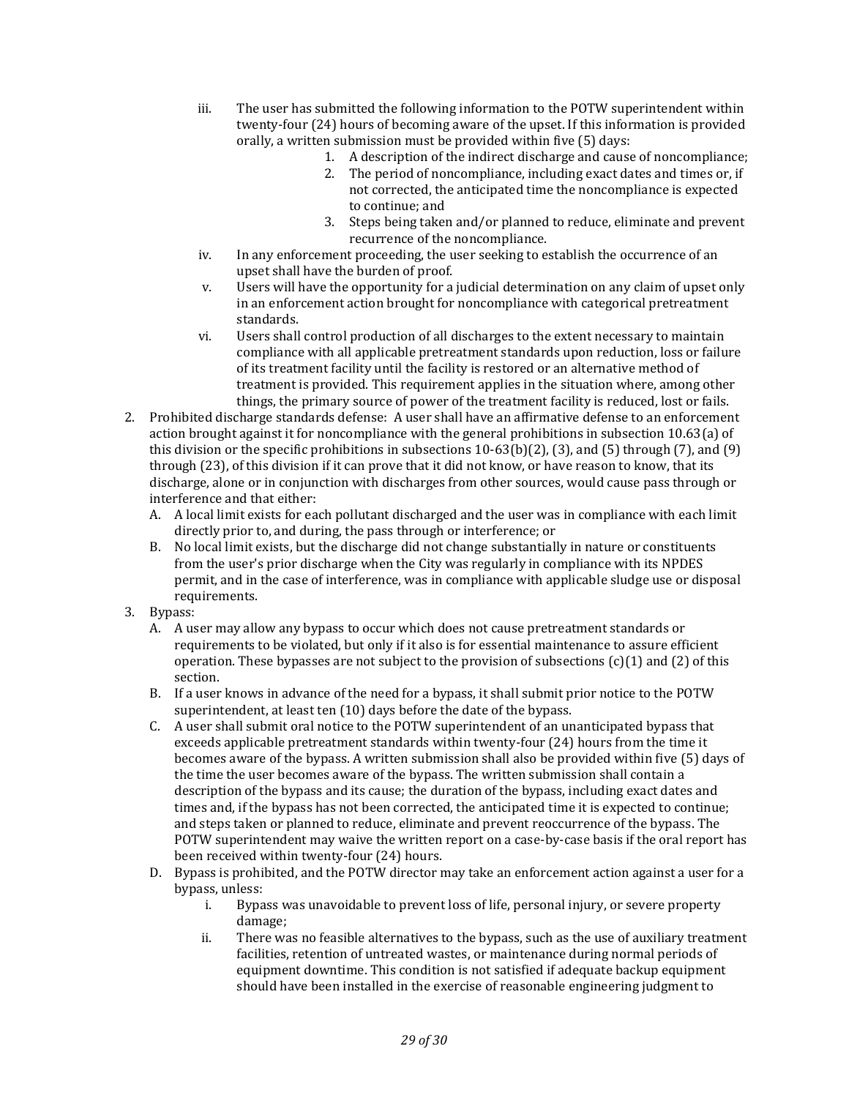- iii. The user has submitted the following information to the POTW superintendent within twenty-four (24) hours of becoming aware of the upset. If this information is provided orally, a written submission must be provided within five (5) days:
	- 1. A description of the indirect discharge and cause of noncompliance;
	- 2. The period of noncompliance, including exact dates and times or, if not corrected, the anticipated time the noncompliance is expected to continue; and
	- 3. Steps being taken and/or planned to reduce, eliminate and prevent recurrence of the noncompliance.
- iv. In any enforcement proceeding, the user seeking to establish the occurrence of an upset shall have the burden of proof.
- v. Users will have the opportunity for a judicial determination on any claim of upset only in an enforcement action brought for noncompliance with categorical pretreatment standards.
- vi. Users shall control production of all discharges to the extent necessary to maintain compliance with all applicable pretreatment standards upon reduction, loss or failure of its treatment facility until the facility is restored or an alternative method of treatment is provided. This requirement applies in the situation where, among other things, the primary source of power of the treatment facility is reduced, lost or fails.
- 2. Prohibited discharge standards defense: A user shall have an affirmative defense to an enforcement action brought against it for noncompliance with the general prohibitions in subsection 10.63(a) of this division or the specific prohibitions in subsections  $10-63(b)(2)$ , (3), and (5) through (7), and (9) through (23), of this division if it can prove that it did not know, or have reason to know, that its discharge, alone or in conjunction with discharges from other sources, would cause pass through or interference and that either:
	- A. A local limit exists for each pollutant discharged and the user was in compliance with each limit directly prior to, and during, the pass through or interference; or
	- B. No local limit exists, but the discharge did not change substantially in nature or constituents from the user's prior discharge when the City was regularly in compliance with its NPDES permit, and in the case of interference, was in compliance with applicable sludge use or disposal requirements.
- 3. Bypass:
	- A. A user may allow any bypass to occur which does not cause pretreatment standards or requirements to be violated, but only if it also is for essential maintenance to assure efficient operation. These bypasses are not subject to the provision of subsections  $(c)(1)$  and  $(2)$  of this section.
	- B. If a user knows in advance of the need for a bypass, it shall submit prior notice to the POTW superintendent, at least ten (10) days before the date of the bypass.
	- C. A user shall submit oral notice to the POTW superintendent of an unanticipated bypass that exceeds applicable pretreatment standards within twenty-four (24) hours from the time it becomes aware of the bypass. A written submission shall also be provided within five (5) days of the time the user becomes aware of the bypass. The written submission shall contain a description of the bypass and its cause; the duration of the bypass, including exact dates and times and, if the bypass has not been corrected, the anticipated time it is expected to continue; and steps taken or planned to reduce, eliminate and prevent reoccurrence of the bypass. The POTW superintendent may waive the written report on a case-by-case basis if the oral report has been received within twenty-four (24) hours.
	- D. Bypass is prohibited, and the POTW director may take an enforcement action against a user for a bypass, unless:
		- i. Bypass was unavoidable to prevent loss of life, personal injury, or severe property damage;
		- ii. There was no feasible alternatives to the bypass, such as the use of auxiliary treatment facilities, retention of untreated wastes, or maintenance during normal periods of equipment downtime. This condition is not satisfied if adequate backup equipment should have been installed in the exercise of reasonable engineering judgment to